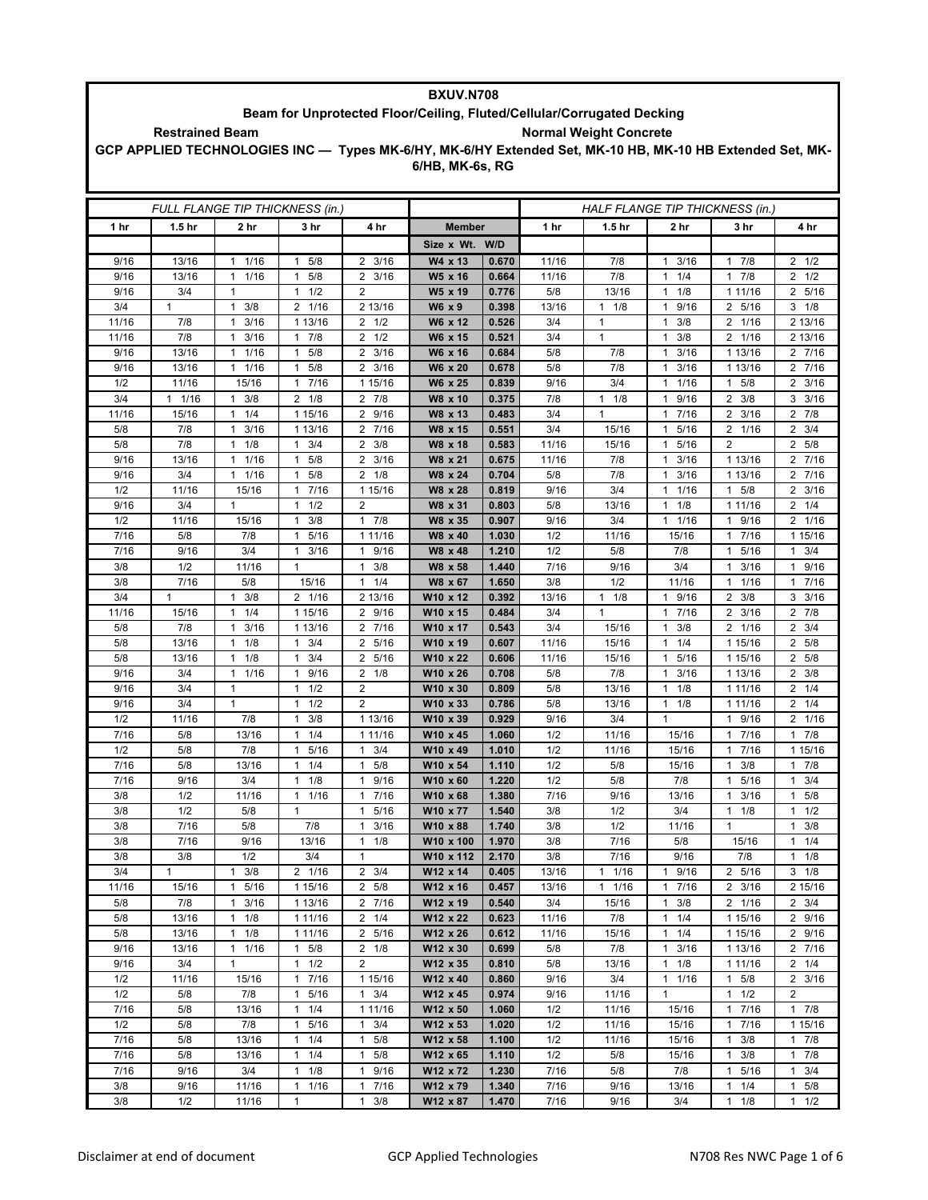| BXUV.N708                                                                                                                         |                                                                                                          |                                             |                                   |                                            |                       |                |                                 |                   |                                              |                                  |                                |  |
|-----------------------------------------------------------------------------------------------------------------------------------|----------------------------------------------------------------------------------------------------------|---------------------------------------------|-----------------------------------|--------------------------------------------|-----------------------|----------------|---------------------------------|-------------------|----------------------------------------------|----------------------------------|--------------------------------|--|
| Beam for Unprotected Floor/Ceiling, Fluted/Cellular/Corrugated Decking<br><b>Normal Weight Concrete</b><br><b>Restrained Beam</b> |                                                                                                          |                                             |                                   |                                            |                       |                |                                 |                   |                                              |                                  |                                |  |
|                                                                                                                                   | GCP APPLIED TECHNOLOGIES INC - Types MK-6/HY, MK-6/HY Extended Set, MK-10 HB, MK-10 HB Extended Set, MK- |                                             |                                   |                                            |                       |                |                                 |                   |                                              |                                  |                                |  |
|                                                                                                                                   |                                                                                                          |                                             |                                   |                                            | 6/HB, MK-6s, RG       |                |                                 |                   |                                              |                                  |                                |  |
|                                                                                                                                   |                                                                                                          |                                             |                                   |                                            |                       |                |                                 |                   |                                              |                                  |                                |  |
|                                                                                                                                   | FULL FLANGE TIP THICKNESS (in.)                                                                          |                                             |                                   |                                            |                       |                | HALF FLANGE TIP THICKNESS (in.) |                   |                                              |                                  |                                |  |
| 1 hr                                                                                                                              | 1.5 <sub>hr</sub>                                                                                        | 2 hr                                        | 3 hr                              | 4 hr                                       | <b>Member</b>         |                | 1 hr                            | 1.5 <sub>hr</sub> | 2 hr                                         | 3 hr                             | 4 hr                           |  |
|                                                                                                                                   |                                                                                                          |                                             |                                   |                                            | Size x Wt. W/D        |                |                                 |                   |                                              |                                  |                                |  |
| 9/16                                                                                                                              | 13/16                                                                                                    | 1/16<br>$\mathbf{1}$                        | 5/8<br>1                          | 3/16<br>$\overline{2}$                     | W4 x 13               | 0.670          | 11/16                           | 7/8               | 3/16<br>$\mathbf{1}$                         | 7/8<br>1                         | $2 \frac{1}{2}$                |  |
| 9/16                                                                                                                              | 13/16                                                                                                    | 1<br>1/16                                   | 5/8<br>1                          | $\overline{2}$<br>3/16                     | W5 x 16               | 0.664          | 11/16                           | 7/8               | 1/4<br>$\mathbf{1}$                          | 7/8<br>$\overline{1}$            | $2 \frac{1}{2}$                |  |
| 9/16                                                                                                                              | 3/4                                                                                                      | $\mathbf{1}$                                | $1 \t1/2$                         | 2                                          | W5 x 19               | 0.776          | 5/8                             | 13/16             | 1/8<br>$\mathbf{1}$                          | 1 1 1 / 1 6                      | 2 5/16                         |  |
| 3/4                                                                                                                               | $\mathbf{1}$                                                                                             | $\mathbf{1}$<br>3/8                         | 2 1/16                            | 2 13/16                                    | W6 x 9                | 0.398          | 13/16                           | $1 \t1/8$         | 9/16<br>$\mathbf{1}$                         | 2 5/16                           | $3 \t1/8$                      |  |
| 11/16                                                                                                                             | 7/8<br>7/8                                                                                               | 3/16<br>$\mathbf{1}$                        | 1 13/16                           | $2 \frac{1}{2}$                            | W6 x 12               | 0.526          | 3/4                             | $\mathbf{1}$<br>1 | 3/8<br>$\mathbf{1}$                          | 2 1/16                           | 2 13/16                        |  |
| 11/16<br>9/16                                                                                                                     | 13/16                                                                                                    | 3/16<br>$\mathbf{1}$<br>1<br>1/16           | $1 \t7/8$<br>5/8<br>1             | $2 \frac{1}{2}$<br>3/16<br>2               | W6 x 15<br>W6 x 16    | 0.521<br>0.684 | 3/4<br>5/8                      | 7/8               | 3/8<br>$\mathbf{1}$<br>3/16<br>1             | 2 1/16<br>1 13/16                | 2 13/16<br>2 7/16              |  |
| 9/16                                                                                                                              | 13/16                                                                                                    | 1/16<br>$\mathbf{1}$                        | 5/8<br>1                          | 3/16<br>$\overline{2}$                     | W6 x 20               | 0.678          | 5/8                             | 7/8               | 3/16<br>$\mathbf{1}$                         | 1 13/16                          | 2 7/16                         |  |
| 1/2                                                                                                                               | 11/16                                                                                                    | 15/16                                       | 1 7/16                            | 1 15/16                                    | W6 x 25               | 0.839          | 9/16                            | 3/4               | 1/16<br>$\mathbf{1}$                         | $1 \t5/8$                        | $2 \frac{3}{16}$               |  |
| 3/4                                                                                                                               | $1 \t1/16$                                                                                               | 3/8<br>$\mathbf{1}$                         | $2 \frac{1}{8}$                   | 7/8<br>$\mathbf{2}$                        | W8 x 10               | 0.375          | 7/8                             | $1 \t1/8$         | 9/16<br>$\mathbf{1}$                         | 2<br>3/8                         | $3 \frac{3}{16}$               |  |
| 11/16                                                                                                                             | 15/16                                                                                                    | 1/4<br>$\mathbf{1}$                         | 1 15/16                           | 9/16<br>$\overline{2}$                     | W8 x 13               | 0.483          | 3/4                             | $\mathbf{1}$      | 7/16<br>$\mathbf{1}$                         | 3/16<br>$\overline{2}$           | $2 \t 7/8$                     |  |
| 5/8<br>5/8                                                                                                                        | 7/8<br>7/8                                                                                               | 3/16<br>$\mathbf{1}$<br>1/8<br>$\mathbf{1}$ | 1 13/16<br>3/4<br>1               | 2 7/16<br>2<br>3/8                         | W8 x 15               | 0.551<br>0.583 | 3/4<br>11/16                    | 15/16<br>15/16    | 5/16<br>$\mathbf{1}$<br>5/16<br>$\mathbf{1}$ | 2 1/16<br>2                      | $2 \frac{3}{4}$<br>2 5/8       |  |
| 9/16                                                                                                                              | 13/16                                                                                                    | 1/16<br>$\mathbf{1}$                        | 5/8<br>1                          | $\overline{2}$<br>3/16                     | W8 x 18<br>W8 x 21    | 0.675          | 11/16                           | 7/8               | 3/16<br>$\mathbf{1}$                         | 1 13/16                          | 2 7/16                         |  |
| 9/16                                                                                                                              | 3/4                                                                                                      | 1/16<br>$\mathbf{1}$                        | 5/8<br>1                          | $\overline{2}$<br>1/8                      | W8 x 24               | 0.704          | 5/8                             | 7/8               | 3/16<br>$\mathbf{1}$                         | 1 13/16                          | 2 7/16                         |  |
| 1/2                                                                                                                               | 11/16                                                                                                    | 15/16                                       | 7/16<br>1                         | 1 15/16                                    | W8 x 28               | 0.819          | 9/16                            | 3/4               | 1/16<br>$\mathbf{1}$                         | 5/8<br>1                         | $2 \frac{3}{16}$               |  |
| 9/16                                                                                                                              | 3/4                                                                                                      | $\mathbf{1}$                                | 1/2<br>1                          | $\overline{2}$                             | W8 x 31               | 0.803          | 5/8                             | 13/16             | 1/8<br>$\mathbf{1}$                          | 1 1 1 / 16                       | $2 \t1/4$                      |  |
| 1/2                                                                                                                               | 11/16                                                                                                    | 15/16                                       | 3/8<br>1                          | $\mathbf{1}$<br>7/8                        | W8 x 35               | 0.907          | 9/16                            | 3/4               | $\mathbf{1}$<br>1/16                         | 9/16<br>1                        | 2 1/16                         |  |
| 7/16<br>7/16                                                                                                                      | 5/8<br>9/16                                                                                              | 7/8<br>3/4                                  | 5/16<br>1<br>3/16<br>$\mathbf{1}$ | 1 11/16<br>$\mathbf{1}$<br>9/16            | W8 x 40<br>W8 x 48    | 1.030<br>1.210 | 1/2<br>1/2                      | 11/16<br>5/8      | 15/16<br>7/8                                 | 7/16<br>1<br>5/16<br>1           | 1 15/16<br>3/4<br>$\mathbf{1}$ |  |
| 3/8                                                                                                                               | 1/2                                                                                                      | 11/16                                       | $\mathbf{1}$                      | $\mathbf{1}$<br>3/8                        | W8 x 58               | 1.440          | 7/16                            | 9/16              | 3/4                                          | 3/16<br>1                        | 9/16<br>$\mathbf{1}$           |  |
| 3/8                                                                                                                               | 7/16                                                                                                     | 5/8                                         | 15/16                             | 1/4<br>$\mathbf{1}$                        | W8 x 67               | 1.650          | 3/8                             | 1/2               | 11/16                                        | 1/16<br>1                        | 7/16<br>$\mathbf{1}$           |  |
| 3/4                                                                                                                               | $\mathbf{1}$                                                                                             | 3/8<br>$\mathbf{1}$                         | 2 1/16                            | 2 13/16                                    | W10 x 12              | 0.392          | 13/16                           | $1 \t1/8$         | 9/16<br>$\mathbf{1}$                         | 2<br>3/8                         | $3 \frac{3}{16}$               |  |
| 11/16                                                                                                                             | 15/16                                                                                                    | $\mathbf{1}$<br>1/4                         | 1 15/16                           | $\overline{2}$<br>9/16                     | W10 x 15              | 0.484          | 3/4                             | $\mathbf{1}$      | 7/16<br>$\mathbf{1}$                         | 2<br>3/16                        | 2 7/8                          |  |
| 5/8                                                                                                                               | 7/8                                                                                                      | 3/16<br>$\mathbf{1}$                        | 1 13/16                           | 7/16<br>2                                  | W10 x 17              | 0.543          | 3/4                             | 15/16             | 3/8<br>$\mathbf{1}$                          | 2 1/16                           | $2 \frac{3}{4}$                |  |
| 5/8<br>5/8                                                                                                                        | 13/16<br>13/16                                                                                           | 1/8<br>$\mathbf{1}$<br>1/8<br>$\mathbf{1}$  | 3/4<br>$\mathbf{1}$<br>3/4<br>1   | $\overline{2}$<br>5/16<br>5/16<br>2        | W10 x 19<br>W10 x 22  | 0.607<br>0.606 | 11/16<br>11/16                  | 15/16<br>15/16    | 1/4<br>$\mathbf{1}$<br>5/16<br>$\mathbf{1}$  | 1 15/16<br>1 15/16               | 2 5/8<br>2 5/8                 |  |
| 9/16                                                                                                                              | 3/4                                                                                                      | 1/16<br>1                                   | 9/16<br>$\mathbf{1}$              | $2 \t1/8$                                  | W10 x 26              | 0.708          | 5/8                             | 7/8               | 3/16<br>1                                    | 1 13/16                          | $2 \frac{3}{8}$                |  |
| 9/16                                                                                                                              | 3/4                                                                                                      | $\mathbf{1}$                                | 1/2<br>1                          | $\overline{2}$                             | W10 x 30              | 0.809          | 5/8                             | 13/16             | 1/8<br>$\mathbf{1}$                          | 1 1 1/16                         | $2 \t1/4$                      |  |
| 9/16                                                                                                                              | 3/4                                                                                                      | $\mathbf{1}$                                | 1/2<br>$\mathbf{1}$               | $\overline{2}$                             | W10 x 33              | 0.786          | 5/8                             | 13/16             | $\mathbf{1}$<br>1/8                          | 1 1 1 / 1 6                      | $2 \t1/4$                      |  |
| 1/2                                                                                                                               | 11/16                                                                                                    | 7/8                                         | 3/8<br>$\mathbf{1}$               | 1 13/16                                    | W10 x 39              | 0.929          | 9/16                            | 3/4               | $\mathbf{1}$                                 | 1 9/16                           | 2 1/16                         |  |
| 7/16                                                                                                                              | 5/8                                                                                                      | 13/16                                       | 1/4                               | 1 11/16                                    | W10 x 45              | 1.060          | 1/2                             | 11/16             | 15/16                                        | 7/16<br>1                        | 7/8<br>1                       |  |
| 1/2<br>7/16                                                                                                                       | 5/8<br>5/8                                                                                               | 7/8<br>13/16                                | 5/16<br>1<br>1/4<br>1             | 3/4<br>$\mathbf{1}$<br>5/8<br>$\mathbf{1}$ | W10 x 49<br>W10 x 54  | 1.010<br>1.110 | 1/2<br>1/2                      | 11/16<br>5/8      | 15/16<br>15/16                               | 7/16<br>1<br>3/8<br>1            | 1 15/16<br>$1 \t7/8$           |  |
| 7/16                                                                                                                              | 9/16                                                                                                     | 3/4                                         | $1 \t1/8$                         | 9/16<br>$\mathbf{1}$                       | W10 x 60              | 1.220          | 1/2                             | 5/8               | 7/8                                          | 5/16<br>1                        | 3/4<br>1                       |  |
| 3/8                                                                                                                               | 1/2                                                                                                      | 11/16                                       | 11/16                             | 7/16<br>$\mathbf{1}$                       | W10 x 68              | 1.380          | 7/16                            | 9/16              | 13/16                                        | 3/16<br>$\mathbf{1}$             | $\mathbf{1}$<br>5/8            |  |
| 3/8                                                                                                                               | 1/2                                                                                                      | 5/8                                         | $\mathbf{1}$                      | 5/16<br>$\mathbf{1}$                       | W10 x 77              | 1.540          | 3/8                             | 1/2               | 3/4                                          | $1 \t1/8$                        | $1 \t1/2$                      |  |
| 3/8                                                                                                                               | 7/16                                                                                                     | 5/8                                         | 7/8                               | 3/16<br>$\mathbf{1}$                       | W10 x 88              | 1.740          | 3/8                             | 1/2               | 11/16                                        | 1                                | 3/8<br>$\mathbf{1}$            |  |
| 3/8                                                                                                                               | 7/16                                                                                                     | 9/16                                        | 13/16                             | $\mathbf{1}$<br>1/8                        | W10 x 100             | 1.970          | 3/8                             | 7/16              | 5/8                                          | 15/16                            | 1/4<br>$\mathbf{1}$            |  |
| 3/8<br>3/4                                                                                                                        | 3/8<br>$\mathbf{1}$                                                                                      | 1/2<br>3/8<br>$\mathbf{1}$                  | 3/4<br>2 1/16                     | $\mathbf{1}$<br>$2 \frac{3}{4}$            | W10 x 112<br>W12 x 14 | 2.170<br>0.405 | 3/8<br>13/16                    | 7/16<br>11/16     | 9/16<br>9/16<br>$\mathbf{1}$                 | 7/8<br>2 5/16                    | $1 \t1/8$<br>$3 \t1/8$         |  |
| 11/16                                                                                                                             | 15/16                                                                                                    | 5/16<br>1                                   | 1 15/16                           | 2 5/8                                      | W12 x 16              | 0.457          | 13/16                           | $1 \t1/16$        | 7/16<br>$\mathbf{1}$                         | $2 \frac{3}{16}$                 | 2 15/16                        |  |
| 5/8                                                                                                                               | 7/8                                                                                                      | 3/16<br>$\mathbf{1}$                        | 1 13/16                           | 2 7/16                                     | W12 x 19              | 0.540          | 3/4                             | 15/16             | 3/8<br>$\mathbf{1}$                          | 2 1/16                           | $2 \frac{3}{4}$                |  |
| 5/8                                                                                                                               | 13/16                                                                                                    | 1/8<br>$\mathbf{1}$                         | 1 11/16                           | $2 \t1/4$                                  | W12 x 22              | 0.623          | 11/16                           | 7/8               | 1/4<br>$\mathbf{1}$                          | 1 15/16                          | 2 9/16                         |  |
| 5/8                                                                                                                               | 13/16                                                                                                    | 1/8<br>$\mathbf{1}$                         | 1 11/16                           | 2 5/16                                     | W12 x 26              | 0.612          | 11/16                           | 15/16             | 1/4<br>$\mathbf{1}$                          | 1 15/16                          | 2 9/16                         |  |
| 9/16                                                                                                                              | 13/16                                                                                                    | 11/16                                       | $1 \t5/8$                         | $2 \t1/8$                                  | W12 x 30              | 0.699          | 5/8                             | 7/8               | $\mathbf{1}$<br>3/16                         | 1 13/16                          | 2 7/16                         |  |
| 9/16<br>1/2                                                                                                                       | 3/4<br>11/16                                                                                             | $\mathbf{1}$<br>15/16                       | $1 \t1/2$<br>17/16                | $\overline{2}$<br>1 15/16                  | W12 x 35<br>W12 x 40  | 0.810<br>0.860 | 5/8<br>9/16                     | 13/16<br>3/4      | 1/8<br>$\mathbf{1}$<br>1/16<br>$\mathbf{1}$  | 1 1 1 / 16<br>5/8<br>1           | $2 \t1/4$<br>$2 \frac{3}{16}$  |  |
| 1/2                                                                                                                               | 5/8                                                                                                      | 7/8                                         | 5/16<br>1                         | 3/4<br>$\mathbf{1}$                        | W12 x 45              | 0.974          | 9/16                            | 11/16             | $\mathbf{1}$                                 | 1/2<br>1                         | $\overline{2}$                 |  |
| 7/16                                                                                                                              | 5/8                                                                                                      | 13/16                                       | $1 \t1/4$                         | 1 11/16                                    | W12 x 50              | 1.060          | 1/2                             | 11/16             | 15/16                                        | 7/16<br>1                        | $1 \t7/8$                      |  |
| 1/2                                                                                                                               | 5/8                                                                                                      | 7/8                                         | 5/16<br>$\mathbf{1}$              | 3/4<br>$\mathbf{1}$                        | W12 x 53              | 1.020          | 1/2                             | 11/16             | 15/16                                        | 7/16<br>1                        | 1 15/16                        |  |
| 7/16                                                                                                                              | 5/8                                                                                                      | 13/16                                       | $1 \t1/4$                         | $\mathbf{1}$<br>5/8                        | W12 x 58              | 1.100          | 1/2                             | 11/16             | 15/16                                        | 1<br>3/8                         | $1 \t7/8$                      |  |
| 7/16<br>7/16                                                                                                                      | 5/8                                                                                                      | 13/16                                       | $1 \t1/4$<br>$\mathbf{1}$         | 5/8<br>$\mathbf{1}$<br>$\mathbf{1}$        | W12 x 65              | 1.110          | 1/2                             | 5/8               | 15/16                                        | 3/8<br>1                         | 17/8<br>1                      |  |
| 3/8                                                                                                                               | 9/16<br>9/16                                                                                             | 3/4<br>11/16                                | 1/8<br>$1 \t1/16$                 | 9/16<br>7/16<br>$\mathbf{1}$               | W12 x 72<br>W12 x 79  | 1.230<br>1.340 | 7/16<br>7/16                    | 5/8<br>9/16       | 7/8<br>13/16                                 | 5/16<br>$\mathbf{1}$<br>1/4<br>1 | 3/4<br>5/8<br>$\mathbf{1}$     |  |
| 3/8                                                                                                                               | 1/2                                                                                                      | 11/16                                       | $\mathbf{1}$                      | 3/8<br>$\mathbf{1}$                        | W12 x 87              | 1.470          | 7/16                            | 9/16              | 3/4                                          | $1 \t1/8$                        | 1/2<br>$\mathbf{1}$            |  |

T

ī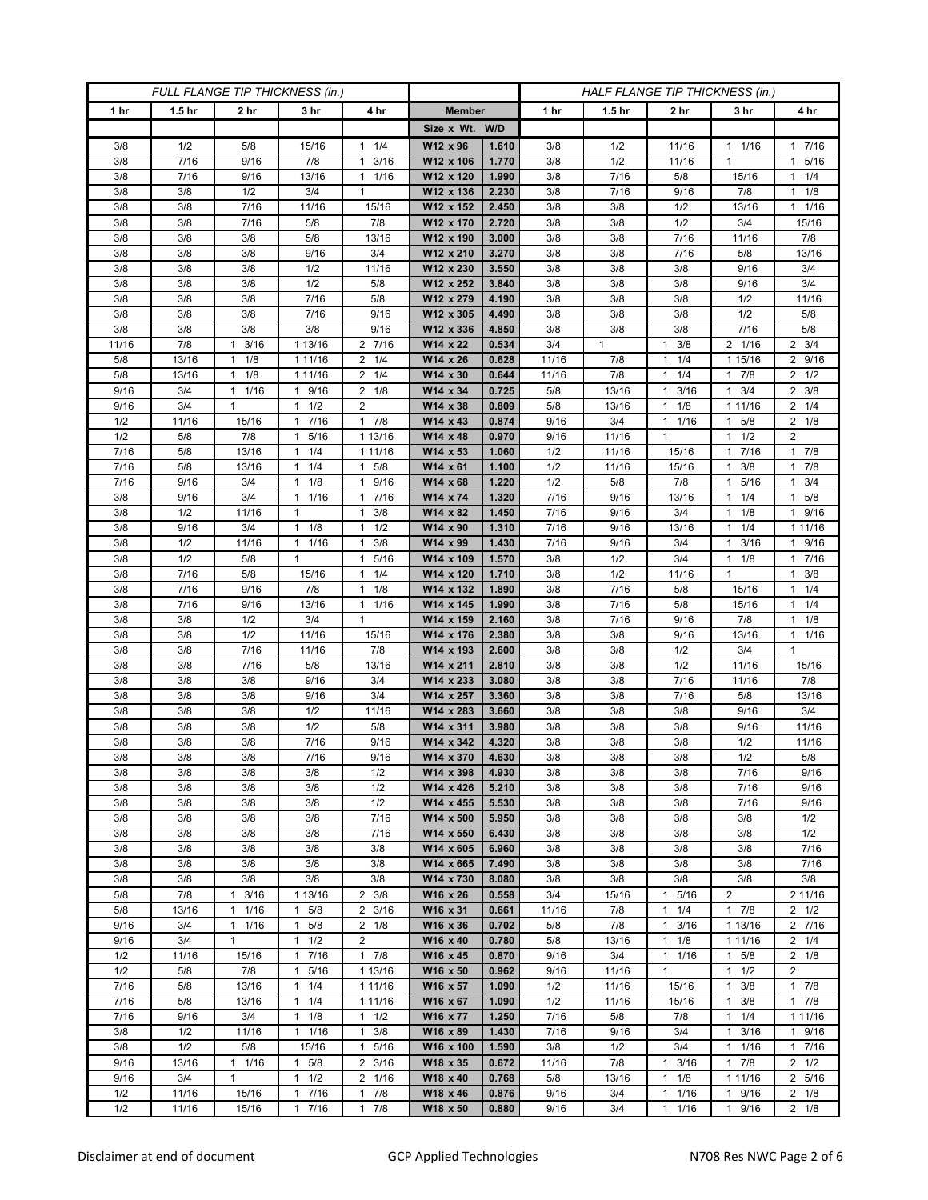| FULL FLANGE TIP THICKNESS (in.) |                   |                            |                                     |                          |                        | HALF FLANGE TIP THICKNESS (in.) |              |                   |                                      |                      |                           |
|---------------------------------|-------------------|----------------------------|-------------------------------------|--------------------------|------------------------|---------------------------------|--------------|-------------------|--------------------------------------|----------------------|---------------------------|
| 1 hr                            | 1.5 <sub>hr</sub> | 2 <sub>hr</sub>            | 3 <sub>hr</sub>                     | 4 hr                     | <b>Member</b>          |                                 | 1 hr         | 1.5 <sub>hr</sub> | 2 <sub>hr</sub>                      | 3 hr                 | 4 hr                      |
|                                 |                   |                            |                                     |                          | Size x Wt. W/D         |                                 |              |                   |                                      |                      |                           |
| 3/8                             | 1/2               | 5/8                        | 15/16                               | 1/4<br>$\mathbf{1}$      | W12 x 96               | 1.610                           | 3/8          | 1/2               | 11/16                                | $1 \t1/16$           | 17/16                     |
| 3/8                             | 7/16              | 9/16                       | 7/8                                 | 3/16<br>$\mathbf{1}$     | W12 x 106              | 1.770                           | 3/8          | 1/2               | 11/16                                | $\mathbf{1}$         | 1 5/16                    |
| 3/8                             | 7/16              | 9/16                       | 13/16                               | 1/16<br>$\mathbf{1}$     | W12 x 120              | 1.990                           | 3/8          | 7/16              | 5/8                                  | 15/16                | $1 \t1/4$                 |
| 3/8                             | 3/8               | 1/2                        | 3/4                                 | $\mathbf{1}$             | W12 x 136              | 2.230                           | 3/8          | 7/16              | 9/16                                 | 7/8                  | $1 \t1/8$                 |
| 3/8                             | 3/8               | 7/16                       | 11/16                               | 15/16                    | W12 x 152              | 2.450                           | 3/8          | 3/8               | 1/2                                  | 13/16                | 11/16                     |
| 3/8                             | 3/8               | 7/16                       | 5/8                                 | 7/8                      | W12 x 170              | 2.720                           | 3/8          | 3/8               | 1/2                                  | 3/4                  | 15/16                     |
| 3/8                             | 3/8               | 3/8                        | 5/8                                 | 13/16                    | W12 x 190              | 3.000                           | 3/8          | 3/8               | 7/16                                 | 11/16                | 7/8                       |
| 3/8<br>3/8                      | 3/8<br>3/8        | 3/8<br>3/8                 | 9/16<br>1/2                         | 3/4                      | W12 x 210<br>W12 x 230 | 3.270<br>3.550                  | 3/8<br>3/8   | 3/8               | 7/16<br>3/8                          | 5/8<br>9/16          | 13/16<br>3/4              |
| 3/8                             | 3/8               | 3/8                        | 1/2                                 | 11/16<br>5/8             | W12 x 252              | 3.840                           | 3/8          | 3/8<br>3/8        | 3/8                                  | 9/16                 | 3/4                       |
| 3/8                             | 3/8               | 3/8                        | 7/16                                | 5/8                      | W12 x 279              | 4.190                           | 3/8          | 3/8               | 3/8                                  | 1/2                  | 11/16                     |
| 3/8                             | 3/8               | 3/8                        | 7/16                                | 9/16                     | W12 x 305              | 4.490                           | 3/8          | 3/8               | 3/8                                  | 1/2                  | 5/8                       |
| 3/8                             | 3/8               | 3/8                        | 3/8                                 | 9/16                     | W12 x 336              | 4.850                           | 3/8          | 3/8               | 3/8                                  | 7/16                 | 5/8                       |
| 11/16                           | 7/8               | 3/16<br>$\mathbf{1}$       | 1 13/16                             | 2 7/16                   | W14 x 22               | 0.534                           | 3/4          | $\mathbf{1}$      | $\mathbf{1}$<br>3/8                  | 2 1/16               | $2 \frac{3}{4}$           |
| 5/8                             | 13/16             | 1/8<br>1                   | 1 11/16                             | 2<br>1/4                 | W14 x 26               | 0.628                           | 11/16        | 7/8               | 1/4<br>$\mathbf{1}$                  | 1 15/16              | 2 9/16                    |
| 5/8                             | 13/16             | 1/8<br>1                   | 1 11/16                             | $\overline{2}$<br>1/4    | W14 x 30               | 0.644                           | 11/16        | 7/8               | 1/4<br>$\mathbf{1}$                  | 17/8                 | $2 \frac{1}{2}$           |
| 9/16                            | 3/4               | 1/16<br>$\mathbf{1}$       | 9/16<br>$\mathbf{1}$                | $2 \t1/8$                | W14 x 34               | 0.725                           | 5/8          | 13/16             | 3/16<br>$\mathbf{1}$                 | 3/4<br>1             | $2 \frac{3}{8}$           |
| 9/16                            | 3/4               | $\mathbf{1}$               | $1 \t1/2$                           | $\overline{2}$           | W14 x 38               | 0.809                           | 5/8          | 13/16             | 1/8<br>$\mathbf{1}$                  | 1 11/16              | $2 \t1/4$                 |
| 1/2                             | 11/16             | 15/16                      | 1 7/16                              | $1 \t7/8$                | W14 x 43               | 0.874                           | 9/16         | 3/4               | 1/16<br>1                            | 5/8<br>$\mathbf{1}$  | $2 \t1/8$                 |
| 1/2                             | 5/8               | 7/8                        | 5/16<br>1                           | 1 13/16                  | W14 x 48               | 0.970                           | 9/16         | 11/16             | $\mathbf{1}$                         | 1/2<br>1             | $\overline{2}$            |
| 7/16                            | 5/8               | 13/16                      | $1 \t1/4$                           | 1 11/16                  | W14 x 53               | 1.060                           | 1/2          | 11/16             | 15/16                                | 7/16<br>1            | 17/8                      |
| 7/16                            | 5/8               | 13/16                      | $1 \t1/4$                           | 5/8<br>1                 | W14 x 61               | 1.100                           | 1/2          | 11/16             | 15/16                                | $1 \t3/8$            | 17/8                      |
| 7/16                            | 9/16              | 3/4                        | 1/8<br>1                            | 9/16<br>$\mathbf{1}$     | W14 x 68               | 1.220                           | 1/2          | 5/8               | 7/8                                  | 5/16                 | 3/4<br>1                  |
| 3/8                             | 9/16              | 3/4                        | 11/16                               | 7/16<br>1                | $W14 \times 74$        | 1.320                           | 7/16         | 9/16              | 13/16                                | 1/4<br>1             | 1 5/8                     |
| 3/8                             | 1/2               | 11/16<br>3/4               | 1<br>$\mathbf{1}$                   | 3/8<br>1<br>1/2          | W14 x 82               | 1.450                           | 7/16         | 9/16              | 3/4                                  | $1 \t1/8$            | 1 9/16                    |
| 3/8<br>3/8                      | 9/16<br>1/2       | 11/16                      | 1/8<br>11/16                        | 1<br>3/8<br>$\mathbf{1}$ | W14 x 90<br>W14 x 99   | 1.310<br>1.430                  | 7/16<br>7/16 | 9/16<br>9/16      | 13/16<br>3/4                         | 1/4<br>3/16<br>1     | 1 11/16<br>1 9/16         |
| 3/8                             | 1/2               | 5/8                        | $\mathbf{1}$                        | $\mathbf{1}$<br>5/16     | W14 x 109              | 1.570                           | 3/8          | 1/2               | 3/4                                  | $1 \t1/8$            | 17/16                     |
| 3/8                             | 7/16              | 5/8                        | 15/16                               | 1/4<br>$\mathbf{1}$      | W14 x 120              | 1.710                           | 3/8          | 1/2               | 11/16                                | 1                    | $1 \t3/8$                 |
| 3/8                             | 7/16              | 9/16                       | 7/8                                 | $\mathbf{1}$<br>1/8      | W14 x 132              | 1.890                           | 3/8          | 7/16              | 5/8                                  | 15/16                | $1 \t1/4$                 |
| 3/8                             | 7/16              | 9/16                       | 13/16                               | 1/16<br>$\mathbf{1}$     | W14 x 145              | 1.990                           | 3/8          | 7/16              | 5/8                                  | 15/16                | 11/4                      |
| 3/8                             | 3/8               | 1/2                        | 3/4                                 | $\mathbf{1}$             | W14 x 159              | 2.160                           | 3/8          | 7/16              | 9/16                                 | 7/8                  | $1 \t1/8$                 |
| 3/8                             | 3/8               | 1/2                        | 11/16                               | 15/16                    | W14 x 176              | 2.380                           | 3/8          | 3/8               | 9/16                                 | 13/16                | 11/16                     |
| 3/8                             | 3/8               | 7/16                       | 11/16                               | 7/8                      | W14 x 193              | 2.600                           | 3/8          | 3/8               | 1/2                                  | 3/4                  | $\mathbf{1}$              |
| 3/8                             | 3/8               | 7/16                       | 5/8                                 | 13/16                    | W14 x 211              | 2.810                           | 3/8          | 3/8               | 1/2                                  | 11/16                | 15/16                     |
| 3/8                             | 3/8               | 3/8                        | 9/16                                | 3/4                      | W14 x 233              | 3.080                           | 3/8          | 3/8               | 7/16                                 | 11/16                | 7/8                       |
| 3/8                             | 3/8               | 3/8                        | 9/16                                | 3/4                      | W14 x 257              | 3.360                           | 3/8          | 3/8               | 7/16                                 | 5/8                  | 13/16                     |
| 3/8                             | 3/8               | 3/8                        | 1/2                                 | 11/16                    | W14 x 283              | 3.660                           | 3/8          | 3/8               | 3/8                                  | 9/16                 | 3/4                       |
| 3/8                             | 3/8               | 3/8                        | 1/2                                 | 5/8                      | W14 x 311              | 3.980                           | 3/8          | 3/8               | 3/8                                  | 9/16                 | 11/16                     |
| 3/8                             | 3/8               | 3/8                        | 7/16                                | 9/16                     | W14 x 342              | 4.320                           | 3/8          | 3/8               | 3/8                                  | 1/2                  | 11/16                     |
| 3/8                             | 3/8               | 3/8                        | 7/16                                | 9/16                     | W14 x 370              | 4.630                           | 3/8          | 3/8               | 3/8                                  | 1/2                  | $5/8$                     |
| 3/8                             | 3/8               | 3/8                        | 3/8                                 | 1/2                      | W14 x 398              | 4.930                           | 3/8          | 3/8               | 3/8                                  | 7/16                 | 9/16                      |
| 3/8<br>3/8                      | 3/8<br>3/8        | 3/8<br>3/8                 | 3/8<br>3/8                          | 1/2<br>1/2               | W14 x 426<br>W14 x 455 | 5.210<br>5.530                  | 3/8<br>3/8   | 3/8<br>3/8        | 3/8<br>3/8                           | 7/16<br>7/16         | 9/16<br>9/16              |
| 3/8                             | 3/8               | 3/8                        | 3/8                                 | 7/16                     | W14 x 500              | 5.950                           | 3/8          | 3/8               | 3/8                                  | 3/8                  | 1/2                       |
| 3/8                             | 3/8               | 3/8                        | 3/8                                 | 7/16                     | W14 x 550              | 6.430                           | 3/8          | 3/8               | 3/8                                  | 3/8                  | 1/2                       |
| 3/8                             | 3/8               | 3/8                        | 3/8                                 | 3/8                      | W14 x 605              | 6.960                           | 3/8          | 3/8               | 3/8                                  | 3/8                  | 7/16                      |
| 3/8                             | 3/8               | 3/8                        | 3/8                                 | 3/8                      | W14 x 665              | 7.490                           | 3/8          | 3/8               | 3/8                                  | 3/8                  | 7/16                      |
| 3/8                             | 3/8               | 3/8                        | 3/8                                 | 3/8                      | W14 x 730              | 8.080                           | 3/8          | 3/8               | 3/8                                  | 3/8                  | 3/8                       |
| 5/8                             | 7/8               | $1 \t3/16$                 | 1 13/16                             | $2 \frac{3}{8}$          | W16 x 26               | 0.558                           | 3/4          | 15/16             | $\mathbf{1}$<br>5/16                 | $\overline{2}$       | 2 11/16                   |
| 5/8                             | 13/16             | 1/16<br>1                  | 5/8<br>$\mathbf{1}$                 | $2 \frac{3}{16}$         | W16 x 31               | 0.661                           | 11/16        | 7/8               | 1/4<br>$\mathbf{1}$                  | $1 \t7/8$            | $2 \frac{1}{2}$           |
| 9/16                            | 3/4               | 1/16<br>$\mathbf{1}$       | $1 \t5/8$                           | $2 \t1/8$                | W16 x 36               | 0.702                           | 5/8          | 7/8               | 3/16<br>$\mathbf{1}$                 | 1 13/16              | 2 7/16                    |
| 9/16                            | 3/4               | $\mathbf{1}$               | $1 \t1/2$                           | $\overline{c}$           | W16 x 40               | 0.780                           | 5/8          | 13/16             | 1/8<br>$\mathbf{1}$                  | 1 11/16              | $2 \t1/4$                 |
| 1/2                             | 11/16             | 15/16                      | 17/16                               | $1 \t7/8$                | W16 x 45               | 0.870                           | 9/16         | 3/4               | 1/16<br>1                            | $1 \t5/8$            | $2 \t1/8$                 |
| 1/2                             | 5/8               | 7/8                        | 5/16<br>1                           | 1 13/16                  | W16 x 50               | 0.962                           | 9/16         | 11/16             | $\mathbf{1}$                         | 1/2<br>$\mathbf{1}$  | $\overline{2}$            |
| 7/16                            | 5/8               | 13/16                      | $1 \t1/4$                           | 1 11/16                  | W16 x 57               | 1.090                           | 1/2          | 11/16             | 15/16                                | 3/8<br>$\mathbf{1}$  | 17/8                      |
| 7/16                            | 5/8               | 13/16                      | $1 \t1/4$                           | 1 11/16                  | W16 x 67               | 1.090                           | 1/2          | 11/16             | 15/16                                | $1 \t3/8$            | 17/8                      |
| 7/16                            | 9/16              | 3/4                        | $1 \t1/8$                           | 1/2<br>1                 | W16 x 77               | 1.250                           | 7/16         | 5/8               | 7/8                                  | 1/4<br>$\mathbf{1}$  | 1 11/16                   |
| 3/8                             | 1/2               | 11/16                      | $1 \t1/16$                          | 3/8<br>$\mathbf{1}$      | W16 x 89               | 1.430                           | 7/16         | 9/16              | 3/4                                  | 3/16<br>$\mathbf{1}$ | 1 9/16                    |
| 3/8                             | 1/2               | 5/8                        | 15/16                               | 5/16<br>$\mathbf{1}$     | W16 x 100              | 1.590                           | 3/8          | 1/2               | 3/4                                  | 1/16<br>$\mathbf{1}$ | 17/16                     |
| 9/16                            | 13/16             | $1 \t1/16$<br>$\mathbf{1}$ | 5/8<br>$\mathbf{1}$<br>$\mathbf{1}$ | 3/16<br>$\overline{2}$   | W18 x 35               | 0.672                           | 11/16        | 7/8               | 3/16<br>$\mathbf{1}$<br>$\mathbf{1}$ | 17/8                 | $2 \frac{1}{2}$<br>2 5/16 |
| 9/16<br>1/2                     | 3/4<br>11/16      | 15/16                      | 1/2<br>1                            | 2<br>1/16<br>7/8<br>1    | W18 x 40               | 0.768<br>0.876                  | 5/8          | 13/16<br>3/4      | 1/8<br>$\mathbf{1}$                  | 1 11/16<br>1         | $2 \t1/8$                 |
| $1/2$                           | 11/16             | 15/16                      | 7/16<br>7/16<br>$\mathbf{1}$        | 7/8<br>$\mathbf{1}$      | W18 x 46<br>W18 x 50   | 0.880                           | 9/16<br>9/16 | 3/4               | 1/16<br>1/16<br>$\mathbf{1}$         | 9/16<br>9/16<br>1    | $2 \t1/8$                 |
|                                 |                   |                            |                                     |                          |                        |                                 |              |                   |                                      |                      |                           |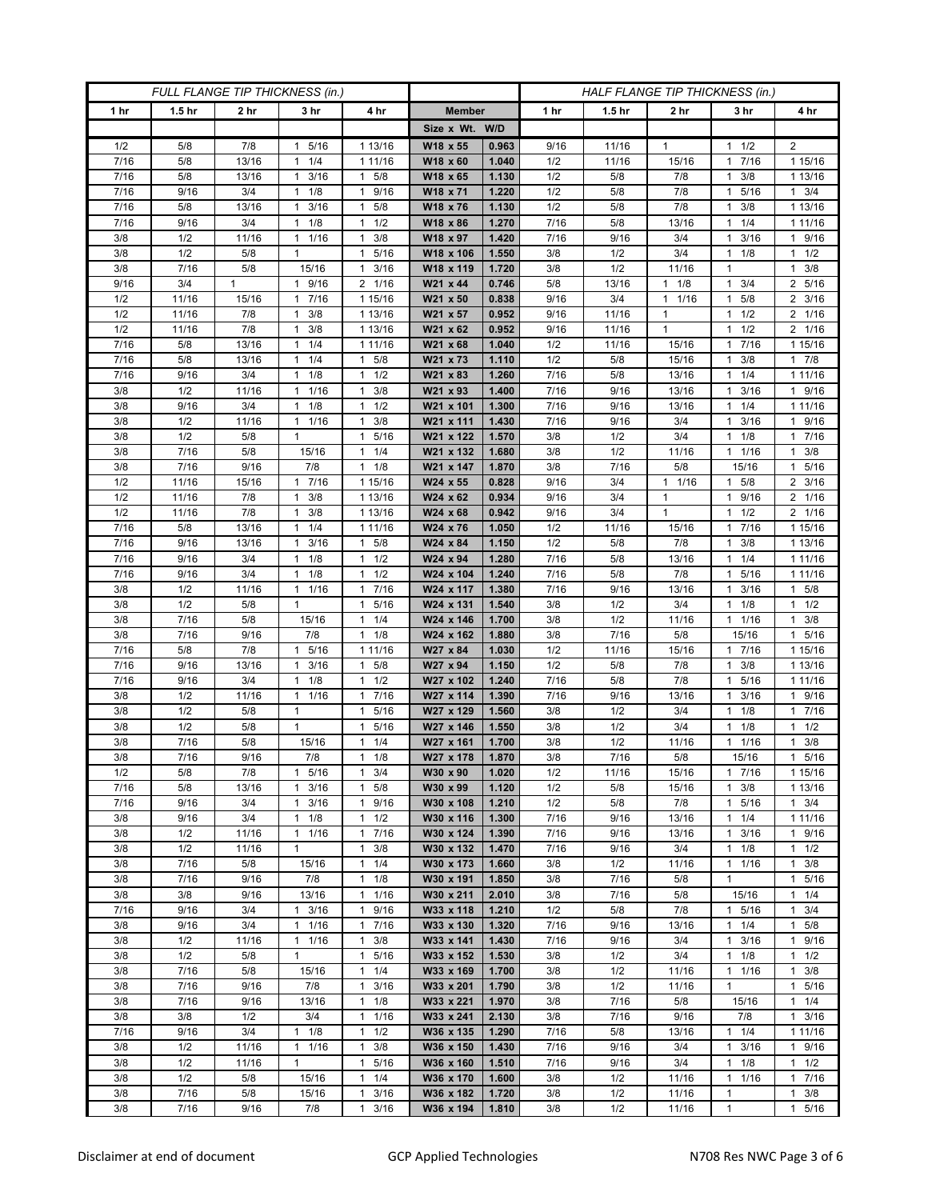| FULL FLANGE TIP THICKNESS (in.) |                   |                 |                                  |                                             | HALF FLANGE TIP THICKNESS (in.) |                |              |                   |                      |                              |                        |
|---------------------------------|-------------------|-----------------|----------------------------------|---------------------------------------------|---------------------------------|----------------|--------------|-------------------|----------------------|------------------------------|------------------------|
| 1 <sub>hr</sub>                 | 1.5 <sub>hr</sub> | 2 <sub>hr</sub> | 3 <sub>hr</sub>                  | 4 hr                                        | <b>Member</b>                   |                | 1 hr         | 1.5 <sub>hr</sub> | 2 <sub>hr</sub>      | 3 hr                         | 4 hr                   |
|                                 |                   |                 |                                  |                                             | Size x Wt. W/D                  |                |              |                   |                      |                              |                        |
| 1/2                             | 5/8               | 7/8             | 5/16<br>1                        | 1 13/16                                     | W18 x 55                        | 0.963          | 9/16         | 11/16             | $\mathbf{1}$         | 1/2<br>1                     | 2                      |
| 7/16                            | 5/8               | 13/16           | 1/4<br>$\mathbf{1}$              | 1 11/16                                     | W18 x 60                        | 1.040          | 1/2          | 11/16             | 15/16                | 7/16<br>1                    | 1 15/16                |
| 7/16                            | 5/8               | 13/16           | $\mathbf{1}$<br>3/16             | 5/8<br>$\mathbf{1}$                         | W18 x 65                        | 1.130          | 1/2          | 5/8               | 7/8                  | 3/8<br>1                     | 1 13/16                |
| 7/16                            | 9/16              | 3/4             | 1/8<br>-1                        | 9/16<br>$\mathbf{1}$                        | W18 x 71                        | 1.220          | 1/2          | 5/8               | 7/8                  | 5/16<br>1                    | $1 \t3/4$              |
| 7/16                            | 5/8               | 13/16           | 3/16<br>$\mathbf{1}$             | 5/8<br>$\mathbf{1}$                         | W18 x 76                        | 1.130          | 1/2          | 5/8               | 7/8                  | 3/8<br>1                     | 1 13/16                |
| 7/16                            | 9/16              | 3/4             | 1/8<br>$\mathbf{1}$              | 1/2<br>$\mathbf{1}$                         | W18 x 86                        | 1.270          | 7/16         | 5/8               | 13/16                | 1/4<br>1                     | 1 1 1 / 16             |
| 3/8                             | 1/2               | 11/16           | 1/16<br>1                        | 3/8<br>1                                    | W18 x 97                        | 1.420          | 7/16         | 9/16              | 3/4                  | 3/16<br>1                    | 1 9/16                 |
| 3/8<br>3/8                      | 1/2<br>7/16       | 5/8<br>5/8      | $\mathbf{1}$<br>15/16            | 5/16<br>1<br>3/16<br>$\mathbf{1}$           | W18 x 106<br>W18 x 119          | 1.550<br>1.720 | 3/8<br>3/8   | 1/2<br>1/2        | 3/4<br>11/16         | 1/8<br>1<br>1                | $1 \t1/2$<br>$1 \t3/8$ |
| 9/16                            | 3/4               | $\mathbf{1}$    | 1 9/16                           | 2 1/16                                      | W21 x 44                        | 0.746          | 5/8          | 13/16             | 1/8<br>$\mathbf{1}$  | 3/4<br>1                     | 2 5/16                 |
| 1/2                             | 11/16             | 15/16           | 7/16<br>1                        | 1 15/16                                     | W21 x 50                        | 0.838          | 9/16         | 3/4               | 1/16<br>1            | 5/8<br>1                     | $2 \frac{3}{16}$       |
| 1/2                             | 11/16             | 7/8             | 3/8<br>1                         | 1 13/16                                     | W21 x 57                        | 0.952          | 9/16         | 11/16             | 1                    | 1/2                          | 2 1/16                 |
| 1/2                             | 11/16             | 7/8             | 3/8<br>1                         | 1 13/16                                     | W21 x 62                        | 0.952          | 9/16         | 11/16             | $\mathbf{1}$         | 1/2<br>1                     | 2 1/16                 |
| 7/16                            | 5/8               | 13/16           | 1/4<br>$\mathbf{1}$              | 1 11/16                                     | W21 x 68                        | 1.040          | 1/2          | 11/16             | 15/16                | 7/16<br>1                    | 1 15/16                |
| 7/16                            | 5/8               | 13/16           | 1/4<br>1                         | 5/8<br>1                                    | W21 x 73                        | 1.110          | 1/2          | 5/8               | 15/16                | 3/8                          | 17/8                   |
| 7/16                            | 9/16              | 3/4             | 1/8<br>$\mathbf{1}$              | 1/2<br>$\mathbf{1}$                         | W21 x 83                        | 1.260          | 7/16         | 5/8               | 13/16                | 1/4<br>1                     | 1 11/16                |
| 3/8                             | 1/2               | 11/16           | 1/16<br>$\mathbf{1}$             | 3/8<br>1                                    | W21 x 93                        | 1.400          | 7/16         | 9/16              | 13/16                | 3/16<br>1                    | 1 9/16                 |
| 3/8                             | 9/16              | 3/4             | $1 \t1/8$                        | 1/2<br>1                                    | W21 x 101                       | 1.300          | 7/16         | 9/16              | 13/16                | $1 \t1/4$                    | 1 11/16                |
| 3/8                             | 1/2               | 11/16           | 1 1/16                           | 3/8<br>1                                    | W21 x 111                       | 1.430          | 7/16         | 9/16              | 3/4                  | 3/16<br>1.                   | 1 9/16                 |
| 3/8                             | 1/2               | 5/8             | $\mathbf{1}$                     | 5/16<br>$\mathbf{1}$                        | W21 x 122                       | 1.570          | 3/8          | 1/2               | 3/4                  | 1/8<br>1                     | 1 7/16                 |
| 3/8                             | 7/16              | $5/8$           | 15/16                            | 1/4<br>$\mathbf{1}$                         | W21 x 132                       | 1.680          | 3/8          | 1/2               | 11/16                | 1/16<br>1                    | $1 \t3/8$              |
| 3/8                             | 7/16              | 9/16            | 7/8                              | 1/8<br>1                                    | W21 x 147                       | 1.870          | 3/8          | 7/16              | 5/8                  | 15/16                        | 1 5/16                 |
| 1/2                             | 11/16             | 15/16           | 7/16<br>1                        | 1 15/16                                     | W24 x 55                        | 0.828          | 9/16         | 3/4               | 1/16<br>$\mathbf{1}$ | 5/8                          | 2 3/16                 |
| 1/2                             | 11/16             | 7/8             | 3/8<br>$\mathbf{1}$              | 113/16                                      | W24 x 62                        | 0.934          | 9/16         | 3/4               | $\mathbf{1}$         | 9/16<br>1                    | 2 1/16                 |
| 1/2                             | 11/16             | 7/8             | $1 \t3/8$                        | 1 13/16                                     | W24 x 68                        | 0.942          | 9/16         | 3/4               | $\mathbf{1}$         | $1 \t1/2$                    | 2 1/16                 |
| 7/16                            | 5/8               | 13/16           | 1/4<br>1                         | 1 11/16                                     | W24 x 76                        | 1.050          | 1/2          | 11/16             | 15/16                | 7/16<br>1                    | 1 15/16                |
| 7/16                            | 9/16              | 13/16           | 3/16<br>$\mathbf{1}$             | 5/8<br>$\mathbf{1}$                         | W24 x 84                        | 1.150          | 1/2          | 5/8               | 7/8                  | 3/8<br>1                     | 1 13/16                |
| 7/16                            | 9/16              | 3/4             | $1 \t1/8$                        | 1/2<br>$\mathbf{1}$                         | W24 x 94                        | 1.280          | 7/16         | 5/8               | 13/16                | $1 \t1/4$                    | 1 11/16                |
| 7/16<br>3/8                     | 9/16<br>1/2       | 3/4<br>11/16    | 1/8<br>1<br>1/16<br>$\mathbf{1}$ | 1/2<br>$\mathbf{1}$<br>7/16<br>$\mathbf{1}$ | W24 x 104<br>W24 x 117          | 1.240<br>1.380 | 7/16<br>7/16 | 5/8<br>9/16       | 7/8<br>13/16         | 5/16<br>1<br>3/16<br>1       | 1 11/16<br>1 5/8       |
| 3/8                             | 1/2               | 5/8             | $\mathbf{1}$                     | 5/16<br>$\mathbf{1}$                        | W24 x 131                       | 1.540          | 3/8          | 1/2               | 3/4                  | 1/8<br>1.                    | $1 \t1/2$              |
| 3/8                             | 7/16              | 5/8             | 15/16                            | 1/4<br>$\mathbf{1}$                         | W24 x 146                       | 1.700          | 3/8          | 1/2               | 11/16                | 11/16                        | $1 \t3/8$              |
| 3/8                             | 7/16              | 9/16            | 7/8                              | 1/8<br>$\mathbf{1}$                         | W24 x 162                       | 1.880          | 3/8          | 7/16              | 5/8                  | 15/16                        | 1 5/16                 |
| 7/16                            | 5/8               | 7/8             | 5/16<br>1                        | 1 11/16                                     | W27 x 84                        | 1.030          | 1/2          | 11/16             | 15/16                | 1 7/16                       | 1 15/16                |
| 7/16                            | 9/16              | 13/16           | 3/16<br>1                        | 5/8<br>$\mathbf{1}$                         | W27 x 94                        | 1.150          | 1/2          | 5/8               | 7/8                  | 3/8<br>1                     | 1 13/16                |
| 7/16                            | 9/16              | 3/4             | 1/8<br>1                         | 1/2<br>$\mathbf{1}$                         | W27 x 102                       | 1.240          | 7/16         | 5/8               | 7/8                  | 5/16<br>1                    | 1 1 1 / 16             |
| 3/8                             | 1/2               | 11/16           | 1<br>1/16                        | $\mathbf{1}$<br>7/16                        | W27 x 114                       | 1.390          | 7/16         | 9/16              | 13/16                | 3/16                         | 1 9/16                 |
| 3/8                             | 1/2               | 5/8             | 1                                | 5/16<br>$\mathbf{1}$                        | W27 x 129                       | 1.560          | 3/8          | 1/2               | 3/4                  | 1/8<br>1                     | 1 7/16                 |
| 3/8                             | 1/2               | 5/8             | $\mathbf{1}$                     | 5/16<br>$\mathbf{1}$                        | W27 x 146                       | 1.550          | 3/8          | 1/2               | 3/4                  | 1/8<br>1                     | $1 \t1/2$              |
| 3/8                             | 7/16              | 5/8             | 15/16                            | 1/4<br>1                                    | W27 x 161                       | 1.700          | 3/8          | 1/2               | 11/16                | 1/16                         | 3/8<br>$\mathbf{1}$    |
| 3/8                             | $7/16$            | 9/16            | $7/8$                            | 1/8<br>$\mathbf{1}$                         | W27 x 178                       | 1.870          | 3/8          | 7/16              | 5/8                  | 15/16                        | 5/16<br>$\mathbf{1}$   |
| 1/2                             | 5/8               | 7/8             | 1 5/16                           | 3/4<br>$\mathbf{1}$                         | W30 x 90                        | 1.020          | 1/2          | 11/16             | 15/16                | 17/16                        | 1 15/16                |
| 7/16                            | 5/8               | 13/16           | $1 \t3/16$                       | $\mathbf{1}$<br>5/8                         | W30 x 99                        | 1.120          | 1/2          | 5/8               | 15/16                | 3/8<br>$\mathbf{1}$          | 1 13/16                |
| 7/16                            | 9/16              | 3/4             | 3/16<br>$\mathbf{1}$             | 9/16<br>$\mathbf{1}$                        | W30 x 108                       | 1.210          | 1/2          | 5/8               | 7/8                  | 5/16<br>1                    | $1 \t3/4$              |
| 3/8                             | 9/16              | 3/4             | 1/8<br>$\mathbf{1}$              | 1/2<br>$\mathbf{1}$<br>7/16<br>$\mathbf{1}$ | W30 x 116<br>W30 x 124          | 1.300          | 7/16         | 9/16              | 13/16                | 1/4                          | 1 11/16                |
| 3/8<br>3/8                      | 1/2<br>1/2        | 11/16<br>11/16  | 11/16<br>1                       | 3/8<br>1                                    | W30 x 132                       | 1.390<br>1.470 | 7/16<br>7/16 | 9/16<br>9/16      | 13/16<br>3/4         | 3/16<br>1<br>$1 \t1/8$       | 1 9/16<br>$1 \t1/2$    |
| 3/8                             | 7/16              | 5/8             | 15/16                            | 1/4<br>$\mathbf{1}$                         | W30 x 173                       | 1.660          | 3/8          | 1/2               | 11/16                | 1/16<br>1                    | $1 \t3/8$              |
| 3/8                             | 7/16              | 9/16            | 7/8                              | 1/8<br>$\mathbf{1}$                         | W30 x 191                       | 1.850          | 3/8          | 7/16              | 5/8                  | $\mathbf{1}$                 | 1 5/16                 |
| 3/8                             | 3/8               | 9/16            | 13/16                            | 1/16<br>1                                   | W30 x 211                       | 2.010          | 3/8          | 7/16              | 5/8                  | 15/16                        | $1 \t1/4$              |
| 7/16                            | 9/16              | 3/4             | 3/16<br>$\mathbf{1}$             | 9/16<br>1                                   | W33 x 118                       | 1.210          | 1/2          | 5/8               | 7/8                  | 5/16<br>1.                   | $1 \t3/4$              |
| 3/8                             | 9/16              | 3/4             | 11/16                            | 7/16<br>$\mathbf{1}$                        | W33 x 130                       | 1.320          | 7/16         | 9/16              | 13/16                | $1 \t1/4$                    | $1 \t5/8$              |
| 3/8                             | 1/2               | 11/16           | $1 \t1/16$                       | 3/8<br>$\mathbf{1}$                         | W33 x 141                       | 1.430          | 7/16         | 9/16              | 3/4                  | $1 \t3/16$                   | 1 9/16                 |
| 3/8                             | 1/2               | 5/8             | $\mathbf{1}$                     | 5/16<br>$\mathbf{1}$                        | W33 x 152                       | 1.530          | 3/8          | 1/2               | 3/4                  | 1/8<br>1                     | $1 \t1/2$              |
| 3/8                             | 7/16              | 5/8             | 15/16                            | 1/4<br>$\mathbf{1}$                         | W33 x 169                       | 1.700          | 3/8          | 1/2               | 11/16                | $\mathbf{1}$<br>1/16         | $1 \t3/8$              |
| 3/8                             | 7/16              | 9/16            | 7/8                              | $\mathbf{1}$<br>3/16                        | W33 x 201                       | 1.790          | 3/8          | 1/2               | 11/16                | $\mathbf{1}$                 | 1 5/16                 |
| 3/8                             | 7/16              | 9/16            | 13/16                            | 1/8<br>$\mathbf{1}$                         | W33 x 221                       | 1.970          | 3/8          | 7/16              | 5/8                  | 15/16                        | $1 \t1/4$              |
| 3/8                             | 3/8               | 1/2             | 3/4                              | 1/16<br>$\mathbf{1}$                        | W33 x 241                       | 2.130          | 3/8          | 7/16              | 9/16                 | 7/8                          | $1 \t3/16$             |
| 7/16                            | 9/16              | 3/4             | 1/8<br>$\mathbf{1}$              | 1/2<br>$\mathbf{1}$                         | W36 x 135                       | 1.290          | 7/16         | 5/8               | 13/16                | $1 \t1/4$                    | 1 11/16                |
| 3/8                             | 1/2               | 11/16           | 11/16                            | 3/8<br>1                                    | W36 x 150                       | 1.430          | 7/16         | 9/16              | 3/4                  | 3/16<br>1                    | 1 9/16                 |
| 3/8                             | 1/2               | 11/16           | $\mathbf{1}$                     | 5/16<br>$\mathbf{1}$                        | W36 x 160                       | 1.510          | 7/16         | 9/16              | 3/4                  | 1/8<br>$\mathbf{1}$          | $1 \t1/2$              |
| 3/8                             | 1/2               | 5/8             | 15/16                            | $\mathbf{1}$<br>1/4                         | W36 x 170                       | 1.600          | 3/8          | 1/2               | 11/16                | 1/16<br>1                    | 17/16                  |
| 3/8                             | 7/16              | 5/8             | 15/16                            | 3/16<br>1                                   | W36 x 182                       | 1.720          | 3/8          | 1/2               | 11/16                | $\mathbf{1}$<br>$\mathbf{1}$ | $1 \t3/8$              |
| 3/8                             | 7/16              | 9/16            | 7/8                              | 3/16<br>$\mathbf{1}$                        | W36 x 194                       | 1.810          | 3/8          | 1/2               | 11/16                |                              | 1 5/16                 |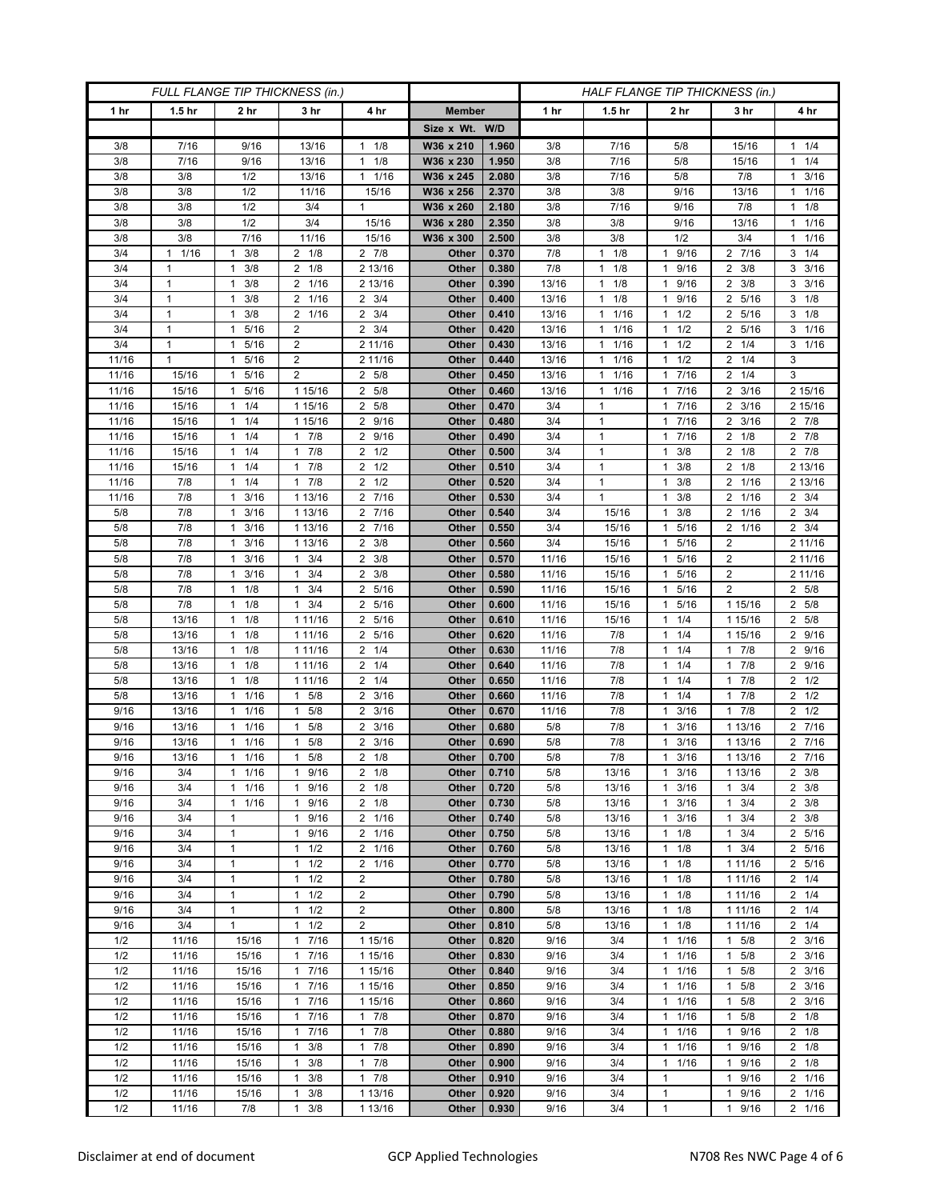| FULL FLANGE TIP THICKNESS (in.) |                      |                                   |                        |                                     |                | HALF FLANGE TIP THICKNESS (in.) |                |                                              |                                              |                                      |                                           |
|---------------------------------|----------------------|-----------------------------------|------------------------|-------------------------------------|----------------|---------------------------------|----------------|----------------------------------------------|----------------------------------------------|--------------------------------------|-------------------------------------------|
| 1 hr                            | 1.5 <sub>hr</sub>    | 2 hr                              | 3 hr                   | 4 hr                                | <b>Member</b>  |                                 | 1 hr           | 1.5 <sub>hr</sub>                            | 2 hr                                         | 3 hr                                 | 4 hr                                      |
|                                 |                      |                                   |                        |                                     | Size x Wt. W/D |                                 |                |                                              |                                              |                                      |                                           |
| 3/8                             | 7/16                 | 9/16                              | 13/16                  | 1/8<br>$\mathbf{1}$                 | W36 x 210      | 1.960                           | 3/8            | 7/16                                         | 5/8                                          | 15/16                                | $1 \t1/4$                                 |
| 3/8                             | 7/16                 | 9/16                              | 13/16                  | 1/8<br>1                            | W36 x 230      | 1.950                           | 3/8            | 7/16                                         | 5/8                                          | 15/16                                | $1 \t1/4$                                 |
| 3/8                             | 3/8                  | 1/2                               | 13/16                  | 1/16<br>$\mathbf{1}$                | W36 x 245      | 2.080                           | 3/8            | 7/16                                         | 5/8                                          | 7/8                                  | 3/16<br>$\mathbf{1}$                      |
| 3/8                             | 3/8                  | 1/2                               | 11/16                  | 15/16                               | W36 x 256      | 2.370                           | 3/8            | 3/8                                          | 9/16                                         | 13/16                                | 1/16<br>1                                 |
| 3/8                             | 3/8                  | 1/2                               | 3/4                    | $\mathbf{1}$                        | W36 x 260      | 2.180                           | 3/8            | 7/16                                         | 9/16                                         | 7/8                                  | $1 \t1/8$                                 |
| 3/8                             | 3/8                  | 1/2                               | 3/4                    | 15/16                               | W36 x 280      | 2.350                           | 3/8            | 3/8                                          | 9/16                                         | 13/16                                | 11/16                                     |
| 3/8                             | 3/8                  | 7/16                              | 11/16                  | 15/16                               | W36 x 300      | 2.500                           | 3/8            | 3/8                                          | 1/2                                          | 3/4                                  | 1/16<br>1                                 |
| 3/4                             | 1/16<br>$\mathbf{1}$ | 3/8<br>1                          | $2 \t1/8$              | $2 \t 7/8$                          | Other          | 0.370                           | 7/8            | 1/8<br>$\mathbf{1}$                          | $\mathbf{1}$<br>9/16                         | 2 7/16                               | $3 \t1/4$                                 |
| 3/4                             | 1                    | 3/8<br>1                          | $2 \t1/8$              | 2 13/16                             | Other          | 0.380                           | 7/8            | 1/8<br>$\mathbf{1}$                          | 9/16<br>$\mathbf{1}$                         | 2 3/8                                | $3 \frac{3}{16}$                          |
| 3/4                             | $\mathbf{1}$         | 3/8<br>1                          | 2 1/16                 | 2 13/16                             | Other          | 0.390                           | 13/16          | 1/8<br>$\mathbf{1}$                          | 9/16<br>$\mathbf{1}$                         | $2 \frac{3}{8}$                      | $3 \frac{3}{16}$                          |
| 3/4                             | $\mathbf{1}$         | 3/8<br>1                          | 2 1/16                 | 3/4<br>$\overline{2}$               | Other          | 0.400                           | 13/16          | $1 \t1/8$                                    | 9/16<br>$\mathbf{1}$                         | 2 5/16                               | $3 \t1/8$                                 |
| 3/4                             | $\mathbf{1}$         | 3/8<br>1                          | 2 1/16                 | $2 \frac{3}{4}$                     | Other          | 0.410                           | 13/16          | 1/16<br>1                                    | 1/2<br>$\mathbf{1}$                          | 2 5/16                               | $3 \t1/8$                                 |
| 3/4                             | 1                    | 5/16<br>1                         | 2                      | $2 \frac{3}{4}$                     | Other          | 0.420                           | 13/16          | 1/16<br>$\mathbf{1}$                         | 1/2<br>$\mathbf{1}$                          | 2 5/16                               | $3 \t1/16$                                |
| 3/4                             | $\mathbf{1}$         | 5/16<br>1                         | $\overline{2}$         | 2 11/16                             | Other          | 0.430                           | 13/16          | 11/16                                        | 1/2<br>$\mathbf{1}$                          | 1/4<br>2                             | $3 \t1/16$                                |
| 11/16                           | $\mathbf{1}$         | 5/16<br>$\mathbf{1}$              | $\overline{2}$         | 2 11/16                             | Other          | 0.440                           | 13/16          | $1 \t1/16$                                   | 1/2<br>$\mathbf{1}$                          | $2 \t1/4$                            | 3                                         |
| 11/16<br>11/16                  | 15/16<br>15/16       | 5/16<br>$\mathbf{1}$<br>5/16<br>1 | $\overline{2}$         | 2 5/8<br>5/8<br>2                   | Other<br>Other | 0.450<br>0.460                  | 13/16<br>13/16 | 1/16<br>$\mathbf{1}$<br>1/16<br>$\mathbf{1}$ | 7/16<br>1<br>7/16<br>$\mathbf{1}$            | $2 \t1/4$<br>3/16<br>2               | 3                                         |
|                                 |                      |                                   | 1 15/16                |                                     |                |                                 |                | $\mathbf{1}$                                 | $7/16$<br>$\mathbf{1}$                       |                                      | 2 15/16                                   |
| 11/16<br>11/16                  | 15/16<br>15/16       | 1/4<br>1<br>$1 \t1/4$             | 1 15/16<br>1 15/16     | 2 5/8<br>2 9/16                     | Other<br>Other | 0.470<br>0.480                  | 3/4<br>3/4     | 1                                            | 7/16<br>1                                    | $2 \frac{3}{16}$<br>$2 \frac{3}{16}$ | 2 15/16<br>2 7/8                          |
| 11/16                           | 15/16                | 1/4<br>1                          | 7/8<br>1               | 9/16<br>2                           | Other          | 0.490                           | 3/4            | $\mathbf{1}$                                 | 7/16<br>$\mathbf 1$                          | 2<br>1/8                             | 2 7/8                                     |
| 11/16                           | 15/16                | 1/4<br>1                          | 7/8<br>$\mathbf{1}$    | $\overline{2}$<br>1/2               | Other          | 0.500                           | 3/4            | $\mathbf{1}$                                 | 3/8<br>$\mathbf{1}$                          | $\overline{2}$<br>1/8                | $2 \t7/8$                                 |
| 11/16                           | 15/16                | $1 \t1/4$                         | 17/8                   | 1/2<br>2                            | Other          | 0.510                           | 3/4            | $\mathbf{1}$                                 | 3/8<br>$\mathbf{1}$                          | $2 \t1/8$                            | 2 13/16                                   |
| 11/16                           | 7/8                  | 1/4<br>1                          | $1 \t7/8$              | 1/2<br>2                            | Other          | 0.520                           | 3/4            | $\mathbf{1}$                                 | 3/8<br>$\mathbf{1}$                          | 2<br>1/16                            | 2 13/16                                   |
| 11/16                           | 7/8                  | 3/16<br>$\mathbf{1}$              | 1 13/16                | 7/16<br>$\overline{2}$              | Other          | 0.530                           | 3/4            | $\mathbf{1}$                                 | 3/8<br>$\mathbf{1}$                          | $\overline{2}$<br>1/16               | $2 \frac{3}{4}$                           |
| 5/8                             | 7/8                  | 3/16<br>$\mathbf{1}$              | 1 13/16                | 2 7/16                              | Other          | 0.540                           | 3/4            | 15/16                                        | 3/8<br>$\mathbf{1}$                          | 2 1/16                               | $2 \frac{3}{4}$                           |
| 5/8                             | 7/8                  | 3/16<br>$\mathbf{1}$              | 1 13/16                | 7/16<br>2                           | Other          | 0.550                           | 3/4            | 15/16                                        | 5/16<br>$\mathbf{1}$                         | 2 1/16                               | $2 \frac{3}{4}$                           |
| 5/8                             | 7/8                  | 3/16<br>$\mathbf{1}$              | 1 13/16                | 3/8<br>2                            | Other          | 0.560                           | 3/4            | 15/16                                        | 5/16<br>$\mathbf{1}$                         | 2                                    | 2 11/16                                   |
| 5/8                             | 7/8                  | 3/16<br>1                         | $1 \t3/4$              | $\overline{2}$<br>3/8               | Other          | 0.570                           | 11/16          | 15/16                                        | 5/16<br>$\mathbf{1}$                         | 2                                    | 2 11/16                                   |
| 5/8                             | 7/8                  | 3/16<br>$\mathbf{1}$              | 3/4<br>$\mathbf{1}$    | $2 \frac{3}{8}$                     | Other          | 0.580                           | 11/16          | 15/16                                        | 5/16<br>$\mathbf{1}$                         | 2                                    | 2 11/16                                   |
| 5/8                             | 7/8                  | 1/8<br>$\mathbf{1}$               | 3/4<br>$\mathbf{1}$    | 5/16<br>2                           | Other          | 0.590                           | 11/16          | 15/16                                        | 5/16<br>$\mathbf{1}$                         | $\overline{2}$                       | 2 5/8                                     |
| 5/8                             | 7/8                  | 1<br>1/8                          | 3/4<br>$\mathbf{1}$    | 5/16<br>2                           | Other          | 0.600                           | 11/16          | 15/16                                        | 5/16<br>$\mathbf{1}$                         | 1 15/16                              | 2 5/8                                     |
| 5/8                             | 13/16                | 1/8<br>$\mathbf{1}$               | 1 11/16                | 5/16<br>2                           | Other          | 0.610                           | 11/16          | 15/16                                        | 1/4<br>$\mathbf{1}$                          | 1 15/16                              | 2 5/8                                     |
| 5/8                             | 13/16                | 1/8<br>$\mathbf{1}$               | 1 11/16                | 5/16<br>2                           | Other          | 0.620                           | 11/16          | 7/8                                          | 1/4<br>$\mathbf{1}$                          | 1 15/16                              | 2 9/16                                    |
| 5/8                             | 13/16                | 1/8<br>$\mathbf{1}$               | 1 11/16                | 1/4<br>2                            | Other          | 0.630                           | 11/16          | 7/8                                          | 1/4<br>$\mathbf{1}$                          | 7/8<br>1.                            | 2 9/16                                    |
| 5/8                             | 13/16                | 1/8<br>1                          | 1 11/16                | $\overline{2}$<br>1/4               | Other          | 0.640                           | 11/16          | 7/8                                          | 1/4<br>$\mathbf{1}$                          | 7/8<br>1                             | 2 9/16                                    |
| 5/8                             | 13/16                | 1/8<br>$\mathbf{1}$               | 1 11/16                | 1/4<br>2                            | Other          | 0.650                           | 11/16          | 7/8                                          | 1/4<br>$\mathbf{1}$                          | 7/8<br>1                             | $2 \frac{1}{2}$                           |
| 5/8                             | 13/16                | 1/16<br>1                         | $1 \t5/8$              | 3/16<br>2                           | Other          | 0.660                           | 11/16          | 7/8                                          | 1/4<br>$\mathbf{1}$                          | 7/8<br>1                             | $2 \t1/2$                                 |
| 9/16<br>9/16                    | 13/16<br>13/16       | 1/16<br>1<br>1/16<br>1            | 5/8<br>1<br>5/8<br>1   | 3/16<br>2<br>3/16<br>$\overline{2}$ | Other<br>Other | 0.670<br>0.680                  | 11/16<br>5/8   | 7/8<br>7/8                                   | 3/16<br>$\mathbf{1}$<br>3/16<br>$\mathbf{1}$ | 7/8<br>$\mathbf{1}$<br>1 13/16       | $2 \frac{1}{2}$<br>7/16<br>$\overline{2}$ |
| 9/16                            | 13/16                | 1/16<br>$\mathbf{1}$              | 5/8<br>1               | 3/16<br>2                           | Other          | 0.690                           | 5/8            | 7/8                                          | 3/16<br>1                                    | 1 13/16                              | 2 7/16                                    |
| 9/16                            | 13/16                | 1/16<br>$\mathbf{1}$              | 5/8<br>1               | 1/8<br>2                            | Other          | 0.700                           | 5/8            | 7/8                                          | 3/16<br>$\mathbf{1}$                         | 1 13/16                              | 2 7/16                                    |
| 9/16                            | 3/4                  | 11/16                             | 1 9/16                 | $2 \t1/8$                           | Other          | 0.710                           | 5/8            | 13/16                                        | 3/16<br>$\mathbf{1}$                         | 1 13/16                              | $2 \frac{3}{8}$                           |
| 9/16                            | 3/4                  | 1/16<br>$\mathbf{1}$              | 1 9/16                 | $2 \t1/8$                           | Other          | 0.720                           | 5/8            | 13/16                                        | 3/16<br>$\mathbf{1}$                         | $1 \t3/4$                            | $2 \frac{3}{8}$                           |
| 9/16                            | 3/4                  | $1 \t1/16$                        | 1 9/16                 | $2 \t1/8$                           | Other          | 0.730                           | 5/8            | 13/16                                        | 3/16<br>1                                    | $1 \t3/4$                            | $2 \frac{3}{8}$                           |
| 9/16                            | 3/4                  | 1                                 | 9/16<br>1              | 2 1/16                              | Other          | 0.740                           | 5/8            | 13/16                                        | 3/16<br>$\mathbf{1}$                         | 3/4<br>1                             | $2 \frac{3}{8}$                           |
| 9/16                            | 3/4                  | $\mathbf{1}$                      | 1 9/16                 | 2 1/16                              | Other          | 0.750                           | 5/8            | 13/16                                        | 1/8<br>$\mathbf{1}$                          | 3/4<br>$\mathbf{1}$                  | 2 5/16                                    |
| 9/16                            | 3/4                  | 1                                 | $1 \t1/2$              | 2 1/16                              | Other          | 0.760                           | 5/8            | 13/16                                        | 1/8<br>$\mathbf{1}$                          | $1 \t3/4$                            | 2 5/16                                    |
| 9/16                            | 3/4                  | 1                                 | 1/2<br>$\mathbf{1}$    | 1/16<br>2                           | Other          | 0.770                           | 5/8            | 13/16                                        | 1/8<br>$\mathbf{1}$                          | 1 1 1 / 16                           | 2 5/16                                    |
| 9/16                            | 3/4                  | $\mathbf{1}$                      | $1 \t1/2$              | 2                                   | Other          | 0.780                           | 5/8            | 13/16                                        | $\mathbf{1}$<br>1/8                          | 1 11/16                              | $2 \t1/4$                                 |
| 9/16                            | 3/4                  | $\mathbf{1}$                      | $1 \t1/2$              | $\overline{2}$                      | Other          | 0.790                           | 5/8            | 13/16                                        | $\mathbf{1}$<br>1/8                          | 1 11/16                              | $2 \t1/4$                                 |
| 9/16                            | 3/4                  | $\mathbf{1}$                      | $1 \t1/2$              | $\overline{2}$                      | Other          | 0.800                           | 5/8            | 13/16                                        | 1/8<br>$\mathbf{1}$                          | 1 11/16                              | $2 \t1/4$                                 |
| 9/16                            | 3/4                  | $\mathbf{1}$                      | $1 \t1/2$              | 2                                   | Other          | 0.810                           | 5/8            | 13/16                                        | 1/8<br>$\mathbf{1}$                          | 1 11/16                              | $2 \t1/4$                                 |
| 1/2                             | 11/16                | 15/16                             | 1 7/16                 | 1 15/16                             | Other          | 0.820                           | 9/16           | 3/4                                          | 1/16<br>$\mathbf{1}$                         | $1 \t5/8$                            | $2 \frac{3}{16}$                          |
| 1/2                             | 11/16                | 15/16                             | 17/16                  | 1 15/16                             | Other          | 0.830                           | 9/16           | 3/4                                          | 1/16<br>$\mathbf{1}$                         | 5/8<br>$\mathbf{1}$                  | $2 \frac{3}{16}$                          |
| 1/2                             | 11/16                | 15/16                             | 1 7/16<br>$\mathbf{1}$ | 1 15/16                             | Other          | 0.840                           | 9/16           | 3/4                                          | 1/16<br>$\mathbf{1}$<br>$\mathbf{1}$         | 5/8<br>$\mathbf{1}$                  | $2 \frac{3}{16}$                          |
| 1/2<br>1/2                      | 11/16<br>11/16       | 15/16<br>15/16                    | 7/16<br>17/16          | 1 15/16<br>1 15/16                  | Other<br>Other | 0.850<br>0.860                  | 9/16<br>9/16   | 3/4<br>3/4                                   | 1/16<br>1/16<br>$\mathbf{1}$                 | 5/8<br>$5/8$<br>1                    | $2 \frac{3}{16}$<br>$2 \frac{3}{16}$      |
| 1/2                             | 11/16                | 15/16                             | 17/16                  | 7/8<br>$\mathbf{1}$                 | Other          | 0.870                           | 9/16           | 3/4                                          | 1/16<br>$\mathbf{1}$                         | 5/8<br>$\mathbf{1}$                  | $2 \t1/8$                                 |
| 1/2                             | 11/16                | 15/16                             | 17/16                  | $\mathbf{1}$<br>7/8                 | Other          | 0.880                           | 9/16           | 3/4                                          | 1/16<br>$\mathbf{1}$                         | 9/16<br>1                            | $2 \t1/8$                                 |
| 1/2                             | 11/16                | 15/16                             | 3/8<br>$\mathbf{1}$    | 7/8<br>$\mathbf{1}$                 | Other          | 0.890                           | 9/16           | 3/4                                          | 1/16<br>$\mathbf{1}$                         | 9/16<br>1                            | $2 \t1/8$                                 |
| 1/2                             | 11/16                | 15/16                             | 3/8<br>$\mathbf{1}$    | 7/8<br>$\mathbf{1}$                 | Other          | 0.900                           | 9/16           | 3/4                                          | $\mathbf{1}$<br>1/16                         | 9/16<br>1                            | $2 \t1/8$                                 |
| 1/2                             | 11/16                | 15/16                             | 3/8<br>1               | 7/8<br>$\mathbf{1}$                 | Other          | 0.910                           | 9/16           | 3/4                                          | $\mathbf{1}$                                 | 9/16<br>1                            | 2 1/16                                    |
| 1/2                             | 11/16                | 15/16                             | 3/8<br>1               | 1 13/16                             | Other          | 0.920                           | 9/16           | 3/4                                          | $\mathbf{1}$                                 | 9/16<br>1                            | 2 1/16                                    |
| 1/2                             | 11/16                | 7/8                               | 3/8<br>$\mathbf{1}$    | 1 13/16                             | Other          | 0.930                           | 9/16           | 3/4                                          | $\mathbf{1}$                                 | 9/16<br>$\mathbf{1}$                 | 2 1/16                                    |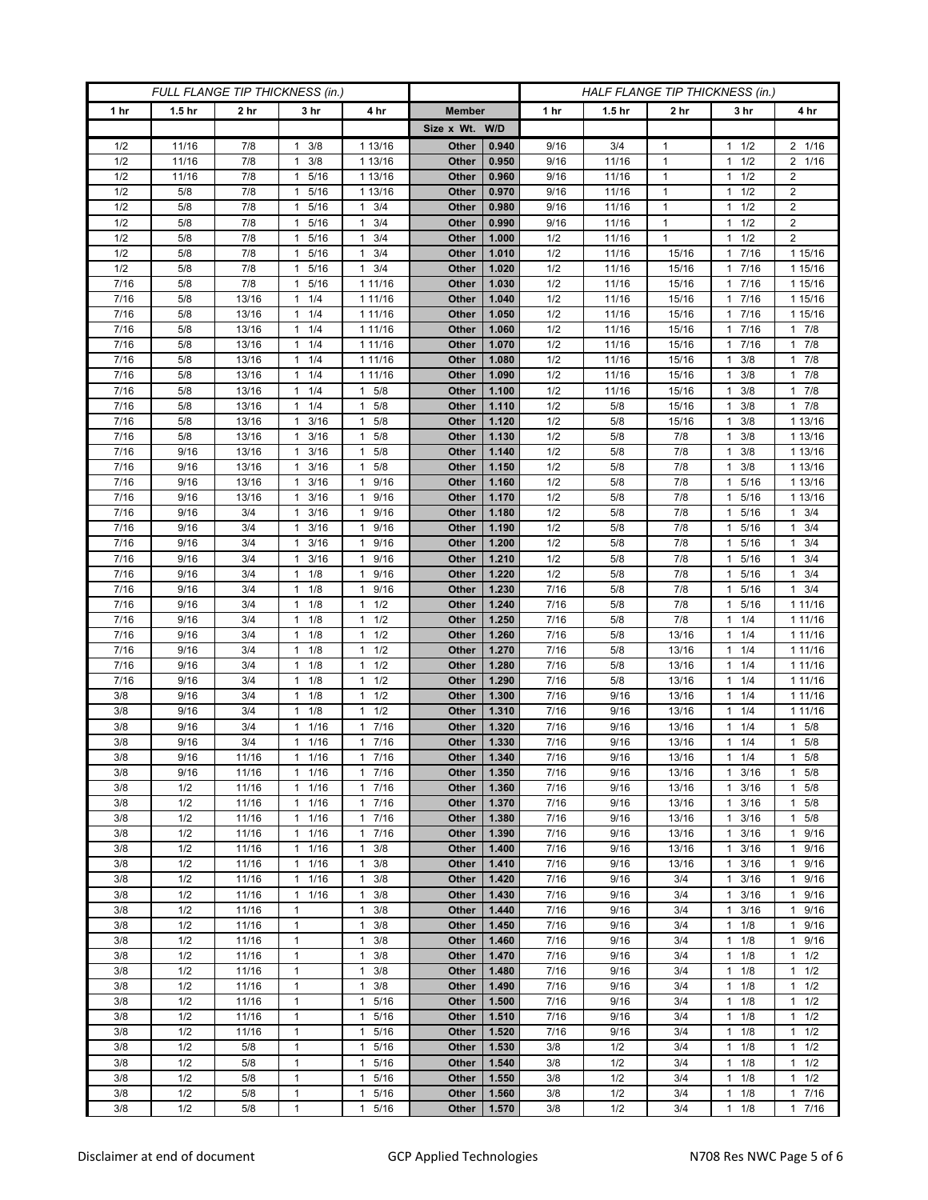| FULL FLANGE TIP THICKNESS (in.) |                   |                 |                                  |                                              | HALF FLANGE TIP THICKNESS (in.) |                |              |                   |                 |                                   |                                  |
|---------------------------------|-------------------|-----------------|----------------------------------|----------------------------------------------|---------------------------------|----------------|--------------|-------------------|-----------------|-----------------------------------|----------------------------------|
| 1 hr                            | 1.5 <sub>hr</sub> | 2 <sub>hr</sub> | 3 <sub>hr</sub>                  | 4 hr                                         | <b>Member</b>                   |                | 1 hr         | 1.5 <sub>hr</sub> | 2 <sub>hr</sub> | 3 hr                              | 4 hr                             |
|                                 |                   |                 |                                  |                                              | Size x Wt. W/D                  |                |              |                   |                 |                                   |                                  |
| 1/2                             | 11/16             | 7/8             | 3/8<br>1                         | 1 13/16                                      | Other                           | 0.940          | 9/16         | 3/4               | $\mathbf 1$     | 1/2<br>1                          | 2 1/16                           |
| 1/2                             | 11/16             | 7/8             | 3/8<br>1                         | 1 13/16                                      | Other                           | 0.950          | 9/16         | 11/16             | $\mathbf{1}$    | 1/2<br>1                          | 2 1/16                           |
| 1/2                             | 11/16             | 7/8             | $\mathbf{1}$<br>5/16             | 1 13/16                                      | Other                           | 0.960          | 9/16         | 11/16             | $\mathbf{1}$    | 1/2<br>1                          | $\overline{2}$                   |
| 1/2                             | 5/8               | 7/8             | 5/16<br>1                        | 1 13/16                                      | Other                           | 0.970          | 9/16         | 11/16             | $\mathbf{1}$    | 1/2<br>1                          | $\overline{2}$                   |
| 1/2                             | 5/8               | 7/8             | 5/16<br>1                        | $\mathbf{1}$<br>3/4                          | Other                           | 0.980          | 9/16         | 11/16             | $\mathbf{1}$    | 1/2<br>1                          | $\boldsymbol{2}$                 |
| 1/2                             | 5/8               | 7/8             | 1<br>5/16                        | $\mathbf{1}$<br>3/4                          | Other                           | 0.990          | 9/16         | 11/16             | $\mathbf{1}$    | 1/2<br>1                          | $\boldsymbol{2}$                 |
| 1/2                             | 5/8               | 7/8             | 5/16<br>-1                       | 3/4<br>1                                     | Other                           | 1.000          | 1/2          | 11/16             | $\mathbf{1}$    | 1/2<br>1                          | $\overline{2}$                   |
| 1/2                             | 5/8               | 7/8             | 5/16<br>$\mathbf{1}$             | 3/4<br>$\mathbf{1}$                          | Other                           | 1.010          | 1/2          | 11/16             | 15/16           | 7/16<br>1                         | 1 15/16                          |
| 1/2                             | 5/8               | 7/8             | 5/16<br>1                        | 3/4<br>$\mathbf{1}$                          | Other                           | 1.020          | 1/2          | 11/16             | 15/16           | 7/16                              | 1 15/16                          |
| 7/16                            | 5/8               | 7/8             | 5/16<br>1                        | 1 11/16                                      | Other                           | 1.030          | 1/2          | 11/16             | 15/16           | 7/16<br>1                         | 1 15/16<br>1 15/16               |
| 7/16<br>7/16                    | 5/8<br>5/8        | 13/16<br>13/16  | 1/4<br>1<br>$\mathbf{1}$<br>1/4  | 1 11/16<br>1 11/16                           | Other<br>Other                  | 1.040<br>1.050 | 1/2<br>1/2   | 11/16<br>11/16    | 15/16<br>15/16  | 7/16<br>1<br>7/16                 | 1 15/16                          |
| 7/16                            | 5/8               | 13/16           | 1/4<br>$\mathbf{1}$              | 1 11/16                                      | Other                           | 1.060          | 1/2          | 11/16             | 15/16           | 7/16<br>1.                        | 17/8                             |
| 7/16                            | 5/8               | 13/16           | $1 \t1/4$                        | 1 11/16                                      | Other                           | 1.070          | 1/2          | 11/16             | 15/16           | 7/16<br>1                         | 17/8                             |
| 7/16                            | 5/8               | 13/16           | 1/4<br>$\mathbf{1}$              | 1 11/16                                      | Other                           | 1.080          | 1/2          | 11/16             | 15/16           | 3/8                               | 17/8                             |
| $\frac{1}{7}{16}$               | 5/8               | 13/16           | 1/4<br>1                         | 1 11/16                                      | Other                           | 1.090          | 1/2          | 11/16             | 15/16           | 3/8<br>1                          | $1 \t7/8$                        |
| 7/16                            | 5/8               | 13/16           | 1/4<br>$\mathbf{1}$              | 5/8<br>$\mathbf{1}$                          | Other                           | 1.100          | 1/2          | 11/16             | 15/16           | 3/8<br>1                          | 17/8                             |
| 7/16                            | 5/8               | 13/16           | $1 \t1/4$                        | 5/8<br>1                                     | Other                           | 1.110          | 1/2          | 5/8               | 15/16           | 3/8<br>1                          | 17/8                             |
| 7/16                            | 5/8               | 13/16           | 3/16<br>$\mathbf{1}$             | 5/8<br>1                                     | Other                           | 1.120          | 1/2          | 5/8               | 15/16           | 3/8<br>1.                         | 1 13/16                          |
| 7/16                            | 5/8               | 13/16           | 3/16<br>1                        | 5/8<br>$\mathbf{1}$                          | Other                           | 1.130          | 1/2          | 5/8               | 7/8             | 3/8<br>1                          | 1 13/16                          |
| 7/16                            | 9/16              | 13/16           | $1 \t3/16$                       | 5/8<br>1                                     | Other                           | 1.140          | 1/2          | 5/8               | 7/8             | 3/8<br>1                          | 1 13/16                          |
| 7/16                            | 9/16              | 13/16           | $1 \t3/16$                       | 5/8<br>1                                     | Other                           | 1.150          | 1/2          | 5/8               | 7/8             | 3/8<br>1                          | 1 13/16                          |
| 7/16                            | 9/16              | 13/16           | 3/16<br>1                        | 9/16<br>$\mathbf{1}$                         | Other                           | 1.160          | 1/2          | 5/8               | 7/8             | 5/16                              | 1 13/16                          |
| 7/16                            | 9/16              | 13/16           | 3/16<br>$\mathbf{1}$             | 9/16<br>$\mathbf{1}$                         | Other                           | 1.170          | 1/2          | 5/8               | 7/8             | 5/16<br>1                         | 1 13/16                          |
| 7/16                            | 9/16              | 3/4             | 3/16<br>$\mathbf{1}$             | 9/16<br>1                                    | Other                           | 1.180          | 1/2          | 5/8               | 7/8             | 5/16<br>1.                        | $1 \t3/4$                        |
| 7/16                            | 9/16              | 3/4             | 3/16<br>1                        | 9/16<br>$\mathbf{1}$                         | Other                           | 1.190          | 1/2          | 5/8               | 7/8             | 5/16                              | 3/4<br>$\mathbf{1}$              |
| 7/16                            | 9/16              | 3/4             | 3/16<br>$\mathbf{1}$             | 9/16<br>$\mathbf{1}$                         | Other                           | 1.200          | 1/2          | 5/8               | 7/8             | 5/16<br>1                         | $1 \t3/4$                        |
| 7/16<br>7/16                    | 9/16<br>9/16      | 3/4<br>3/4      | 3/16<br>$\mathbf{1}$<br>1/8<br>1 | 9/16<br>$\mathbf{1}$<br>9/16<br>$\mathbf{1}$ | Other<br>Other                  | 1.210<br>1.220 | 1/2<br>1/2   | 5/8<br>5/8        | 7/8<br>7/8      | 5/16<br>1.<br>5/16<br>1           | $1 \t3/4$<br>3/4<br>$\mathbf{1}$ |
| 7/16                            | 9/16              | 3/4             | $\mathbf{1}$<br>1/8              | 9/16<br>$\mathbf{1}$                         | Other                           | 1.230          | 7/16         | 5/8               | 7/8             | 5/16<br>1                         | $1 \t3/4$                        |
| 7/16                            | 9/16              | 3/4             | 1/8<br>$\mathbf{1}$              | 1/2<br>$\mathbf{1}$                          | Other                           | 1.240          | 7/16         | 5/8               | 7/8             | 5/16<br>1                         | 1 11/16                          |
| 7/16                            | 9/16              | 3/4             | 1/8<br>1                         | 1/2<br>$\mathbf{1}$                          | Other                           | 1.250          | 7/16         | 5/8               | 7/8             | 1/4<br>1                          | 1 11/16                          |
| 7/16                            | 9/16              | 3/4             | 1/8<br>1                         | 1/2<br>$\mathbf{1}$                          | Other                           | 1.260          | 7/16         | 5/8               | 13/16           | 1/4<br>1                          | 1 11/16                          |
| 7/16                            | 9/16              | 3/4             | 1/8<br>1                         | 1/2<br>$\mathbf{1}$                          | Other                           | 1.270          | 7/16         | 5/8               | 13/16           | 1/4                               | 1 1 1 / 16                       |
| 7/16                            | 9/16              | 3/4             | 1/8<br>1                         | 1/2<br>$\mathbf{1}$                          | Other                           | 1.280          | 7/16         | 5/8               | 13/16           | 1/4<br>1                          | 1 1 1 / 16                       |
| 7/16                            | 9/16              | 3/4             | 1/8<br>1                         | 1/2<br>$\mathbf{1}$                          | Other                           | 1.290          | 7/16         | 5/8               | 13/16           | 1/4<br>1                          | 1 1 1/16                         |
| 3/8                             | 9/16              | 3/4             | 1/8<br>1                         | 1/2<br>1                                     | Other                           | 1.300          | 7/16         | 9/16              | 13/16           | 1/4                               | 1 1 1 / 16                       |
| 3/8                             | 9/16              | 3/4             | 1/8<br>1                         | 1/2<br>$\mathbf{1}$                          | Other                           | 1.310          | 7/16         | 9/16              | 13/16           | 1/4<br>1                          | 1 1 1 / 16                       |
| 3/8                             | 9/16              | 3/4             | 1/16<br>$\mathbf{1}$             | 7/16<br>$\mathbf{1}$                         | Other                           | 1.320          | 7/16         | 9/16              | 13/16           | 1/4<br>1                          | 1 5/8                            |
| 3/8                             | 9/16              | 3/4             | 1/16<br>$\mathbf{1}$             | 7/16<br>$\mathbf{1}$                         | Other                           | 1.330          | 7/16         | 9/16              | 13/16           | 1/4                               | 5/8<br>$\mathbf{1}$              |
| 3/8                             | 9/16              | 11/16           | 1/16<br>$\mathbf{1}$             | 7/16<br>$\mathbf{1}$                         | Other                           | 1.340          | 7/16         | 9/16              | 13/16           | 1/4<br>$\mathbf{1}$               | 5/8<br>$\mathbf{1}$              |
| 3/8                             | 9/16              | 11/16           | $1 \t1/16$                       | 17/16                                        | Other                           | 1.350          | 7/16         | 9/16              | 13/16           | 3/16<br>$\mathbf{1}$              | $1 \t5/8$                        |
| 3/8                             | 1/2               | 11/16           | $1 \t1/16$                       | 7/16<br>$\mathbf{1}$                         | Other                           | 1.360          | 7/16         | 9/16              | 13/16           | 3/16<br>$\mathbf{1}$              | $1 \t5/8$                        |
| 3/8                             | 1/2               | 11/16           | $1 \t1/16$                       | 7/16<br>$\mathbf{1}$                         | Other                           | 1.370          | 7/16         | 9/16              | 13/16           | 3/16<br>1                         | $1 \t5/8$                        |
| 3/8                             | 1/2               | 11/16           | 11/16                            | 7/16<br>$\mathbf{1}$                         | Other                           | 1.380          | 7/16         | 9/16              | 13/16           | 3/16<br>1                         | 1 5/8                            |
| 3/8<br>3/8                      | 1/2<br>1/2        | 11/16<br>11/16  | 11/16<br>$1 \t1/16$              | 7/16<br>$\mathbf{1}$<br>3/8<br>$\mathbf{1}$  | Other<br>Other                  | 1.390<br>1.400 | 7/16<br>7/16 | 9/16<br>9/16      | 13/16<br>13/16  | 3/16<br>1<br>3/16<br>$\mathbf{1}$ | 1 9/16<br>1 9/16                 |
| 3/8                             | 1/2               | 11/16           | 11/16                            | 3/8<br>$\mathbf{1}$                          | Other                           | 1.410          | 7/16         | 9/16              | 13/16           | 3/16                              | 1 9/16                           |
| 3/8                             | 1/2               | 11/16           | 11/16                            | 3/8<br>$\mathbf{1}$                          | Other                           | 1.420          | 7/16         | 9/16              | 3/4             | 3/16<br>$\mathbf{1}$              | 1 9/16                           |
| 3/8                             | 1/2               | 11/16           | $1 \t1/16$                       | 3/8<br>1                                     | Other                           | 1.430          | 7/16         | 9/16              | 3/4             | $1 \t3/16$                        | 1 9/16                           |
| 3/8                             | 1/2               | 11/16           | $\mathbf{1}$                     | 3/8<br>$\mathbf{1}$                          | Other                           | 1.440          | 7/16         | 9/16              | 3/4             | 3/16<br>1                         | 1 9/16                           |
| 3/8                             | 1/2               | 11/16           | $\mathbf{1}$                     | $\mathbf{1}$<br>3/8                          | Other                           | 1.450          | 7/16         | 9/16              | 3/4             | 1/8<br>$\mathbf{1}$               | 1 9/16                           |
| 3/8                             | 1/2               | 11/16           | $\mathbf{1}$                     | 3/8<br>$\mathbf{1}$                          | Other                           | 1.460          | 7/16         | 9/16              | 3/4             | $1 \t1/8$                         | 1 9/16                           |
| 3/8                             | 1/2               | 11/16           | 1                                | 3/8<br>1                                     | Other                           | 1.470          | 7/16         | 9/16              | 3/4             | 1/8<br>1                          | $1 \t1/2$                        |
| 3/8                             | 1/2               | 11/16           | $\mathbf{1}$                     | 3/8<br>$\mathbf{1}$                          | Other                           | 1.480          | 7/16         | 9/16              | 3/4             | 1/8<br>1                          | $1 \t1/2$                        |
| 3/8                             | 1/2               | 11/16           | $\mathbf{1}$                     | 3/8<br>$\mathbf{1}$                          | Other                           | 1.490          | 7/16         | 9/16              | 3/4             | $1 \t1/8$                         | $1 \t1/2$                        |
| 3/8                             | 1/2               | 11/16           | $\mathbf{1}$                     | 5/16<br>1                                    | Other                           | 1.500          | 7/16         | 9/16              | 3/4             | $1 \t1/8$                         | $1 \t1/2$                        |
| 3/8                             | 1/2               | 11/16           | $\mathbf{1}$                     | 5/16<br>1                                    | Other                           | 1.510          | 7/16         | 9/16              | 3/4             | 1/8<br>$\mathbf{1}$               | $1 \t1/2$                        |
| 3/8                             | 1/2               | 11/16           | $\mathbf{1}$                     | 5/16<br>$\mathbf{1}$                         | Other                           | 1.520          | 7/16         | 9/16              | 3/4             | $1 \t1/8$                         | $1 \t1/2$                        |
| 3/8                             | 1/2               | 5/8             | $\mathbf{1}$                     | 5/16<br>1                                    | Other                           | 1.530          | 3/8          | 1/2               | 3/4             | 1/8<br>$\mathbf{1}$               | $1 \t1/2$                        |
| 3/8                             | 1/2               | 5/8             | $\mathbf{1}$                     | 5/16<br>$\mathbf{1}$                         | Other                           | 1.540          | 3/8          | 1/2               | 3/4             | 1/8<br>$\mathbf{1}$               | $1 \t1/2$                        |
| 3/8                             | 1/2               | 5/8             | $\mathbf{1}$                     | 5/16<br>1                                    | Other                           | 1.550          | 3/8          | 1/2               | 3/4             | 1/8<br>1                          | $1 \t1/2$                        |
| 3/8                             | 1/2               | 5/8             | $\mathbf{1}$<br>$\mathbf{1}$     | 5/16<br>1                                    | Other                           | 1.560          | 3/8          | 1/2               | 3/4             | 1/8<br>1                          | 17/16                            |
| 3/8                             | 1/2               | 5/8             |                                  | $5/16$<br>$\mathbf{1}$                       | Other                           | 1.570          | 3/8          | 1/2               | 3/4             | $\mathbf{1}$<br>1/8               | 17/16                            |